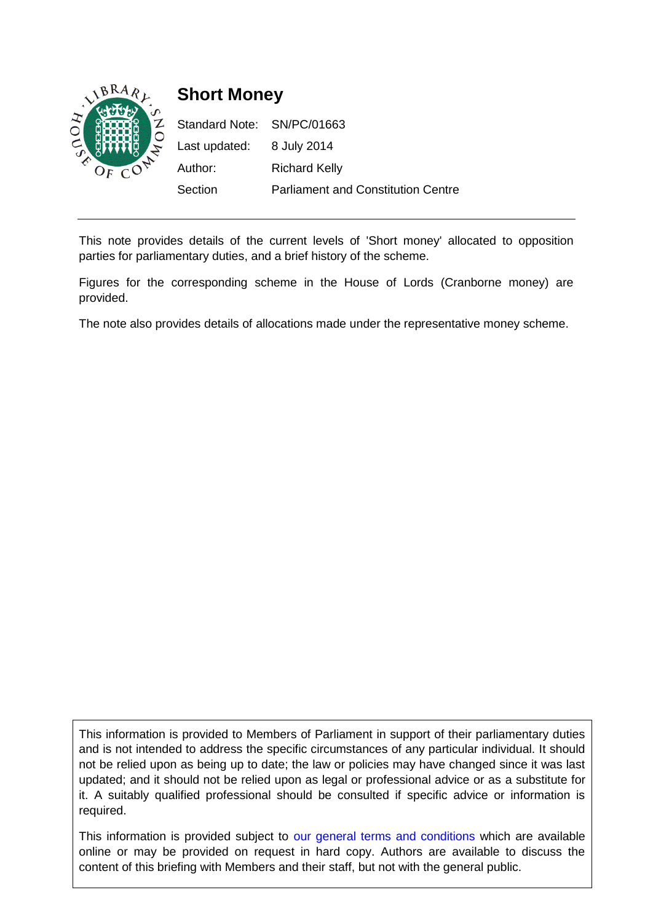

This note provides details of the current levels of 'Short money' allocated to opposition parties for parliamentary duties, and a brief history of the scheme.

Figures for the corresponding scheme in the House of Lords (Cranborne money) are provided.

The note also provides details of allocations made under the representative money scheme.

This information is provided to Members of Parliament in support of their parliamentary duties and is not intended to address the specific circumstances of any particular individual. It should not be relied upon as being up to date; the law or policies may have changed since it was last updated; and it should not be relied upon as legal or professional advice or as a substitute for it. A suitably qualified professional should be consulted if specific advice or information is required.

This information is provided subject to [our general terms and conditions](http://www.parliament.uk/site_information/parliamentary_copyright.cfm) which are available online or may be provided on request in hard copy. Authors are available to discuss the content of this briefing with Members and their staff, but not with the general public.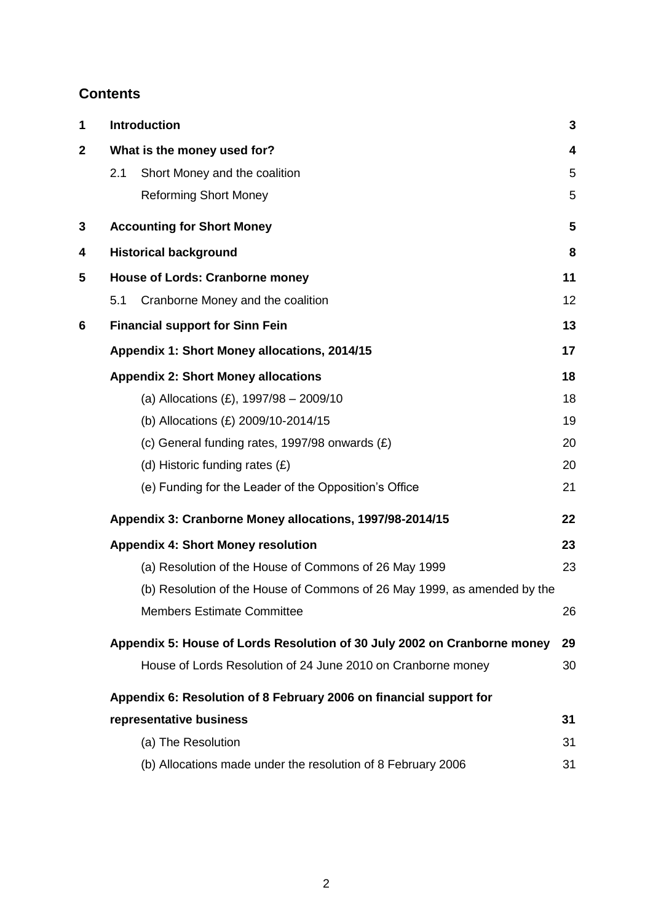# **Contents**

| 1            | Introduction                                                             | 3  |
|--------------|--------------------------------------------------------------------------|----|
| $\mathbf{2}$ | What is the money used for?                                              | 4  |
|              | Short Money and the coalition<br>2.1                                     | 5  |
|              | <b>Reforming Short Money</b>                                             | 5  |
| $\mathbf{3}$ | <b>Accounting for Short Money</b>                                        | 5  |
| 4            | <b>Historical background</b>                                             | 8  |
| 5            | <b>House of Lords: Cranborne money</b>                                   | 11 |
|              | Cranborne Money and the coalition<br>5.1                                 | 12 |
| 6            | <b>Financial support for Sinn Fein</b>                                   | 13 |
|              | Appendix 1: Short Money allocations, 2014/15                             | 17 |
|              | <b>Appendix 2: Short Money allocations</b>                               | 18 |
|              | (a) Allocations $(E)$ , 1997/98 - 2009/10                                | 18 |
|              | (b) Allocations (£) 2009/10-2014/15                                      | 19 |
|              | (c) General funding rates, 1997/98 onwards $(E)$                         | 20 |
|              | (d) Historic funding rates $(E)$                                         | 20 |
|              | (e) Funding for the Leader of the Opposition's Office                    | 21 |
|              | Appendix 3: Cranborne Money allocations, 1997/98-2014/15                 | 22 |
|              | <b>Appendix 4: Short Money resolution</b>                                | 23 |
|              | (a) Resolution of the House of Commons of 26 May 1999                    | 23 |
|              | (b) Resolution of the House of Commons of 26 May 1999, as amended by the |    |
|              | <b>Members Estimate Committee</b>                                        | 26 |
|              | Appendix 5: House of Lords Resolution of 30 July 2002 on Cranborne money | 29 |
|              | House of Lords Resolution of 24 June 2010 on Cranborne money             | 30 |
|              | Appendix 6: Resolution of 8 February 2006 on financial support for       |    |
|              | representative business                                                  | 31 |
|              | (a) The Resolution                                                       | 31 |
|              | (b) Allocations made under the resolution of 8 February 2006             | 31 |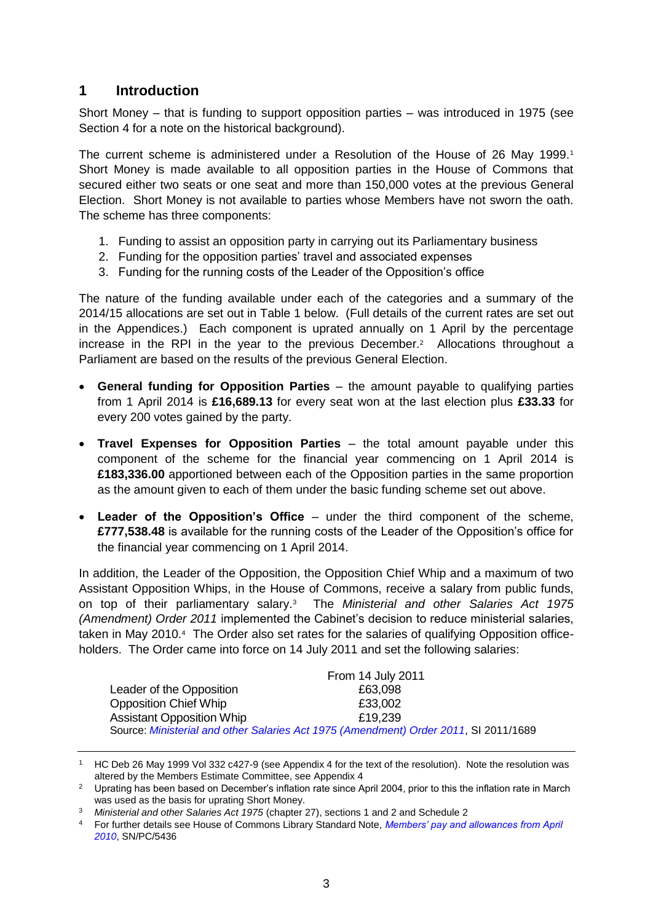## <span id="page-2-0"></span>**1 Introduction**

Short Money – that is funding to support opposition parties – was introduced in 1975 (see Section 4 for a note on the historical background).

The current scheme is administered under a Resolution of the House of 26 May 1999.<sup>1</sup> Short Money is made available to all opposition parties in the House of Commons that secured either two seats or one seat and more than 150,000 votes at the previous General Election. Short Money is not available to parties whose Members have not sworn the oath. The scheme has three components:

- 1. Funding to assist an opposition party in carrying out its Parliamentary business
- 2. Funding for the opposition parties' travel and associated expenses
- 3. Funding for the running costs of the Leader of the Opposition's office

The nature of the funding available under each of the categories and a summary of the 2014/15 allocations are set out in Table 1 below. (Full details of the current rates are set out in the Appendices.) Each component is uprated annually on 1 April by the percentage increase in the RPI in the year to the previous December.<sup>2</sup> Allocations throughout a Parliament are based on the results of the previous General Election.

- **General funding for Opposition Parties** the amount payable to qualifying parties from 1 April 2014 is **£16,689.13** for every seat won at the last election plus **£33.33** for every 200 votes gained by the party.
- **Travel Expenses for Opposition Parties** the total amount payable under this component of the scheme for the financial year commencing on 1 April 2014 is **£183,336.00** apportioned between each of the Opposition parties in the same proportion as the amount given to each of them under the basic funding scheme set out above.
- **Leader of the Opposition's Office** under the third component of the scheme, **£777,538.48** is available for the running costs of the Leader of the Opposition's office for the financial year commencing on 1 April 2014.

In addition, the Leader of the Opposition, the Opposition Chief Whip and a maximum of two Assistant Opposition Whips, in the House of Commons, receive a salary from public funds, on top of their parliamentary salary.<sup>3</sup> The *Ministerial and other Salaries Act 1975 (Amendment) Order 2011* implemented the Cabinet's decision to reduce ministerial salaries, taken in May 2010.<sup>4</sup> The Order also set rates for the salaries of qualifying Opposition officeholders. The Order came into force on 14 July 2011 and set the following salaries:

|                                  | From 14 July 2011                                                                    |
|----------------------------------|--------------------------------------------------------------------------------------|
| Leader of the Opposition         | £63,098                                                                              |
| <b>Opposition Chief Whip</b>     | £33,002                                                                              |
| <b>Assistant Opposition Whip</b> | £19,239                                                                              |
|                                  | Source: Ministerial and other Salaries Act 1975 (Amendment) Order 2011, SI 2011/1689 |

<sup>1</sup> HC Deb 26 May 1999 Vol 332 c427-9 (see Appendix 4 for the text of the resolution). Note the resolution was altered by the Members Estimate Committee, see Appendix 4

<sup>&</sup>lt;sup>2</sup> Uprating has been based on December's inflation rate since April 2004, prior to this the inflation rate in March was used as the basis for uprating Short Money.

<sup>3</sup> *Ministerial and other Salaries Act 1975* (chapter 27), sections 1 and 2 and Schedule 2

<sup>4</sup> For further details see House of Commons Library Standard Note, *[Members' pay and allowances from April](http://www.parliament.uk/briefing-papers/SN05436)  [2010](http://www.parliament.uk/briefing-papers/SN05436)*, SN/PC/5436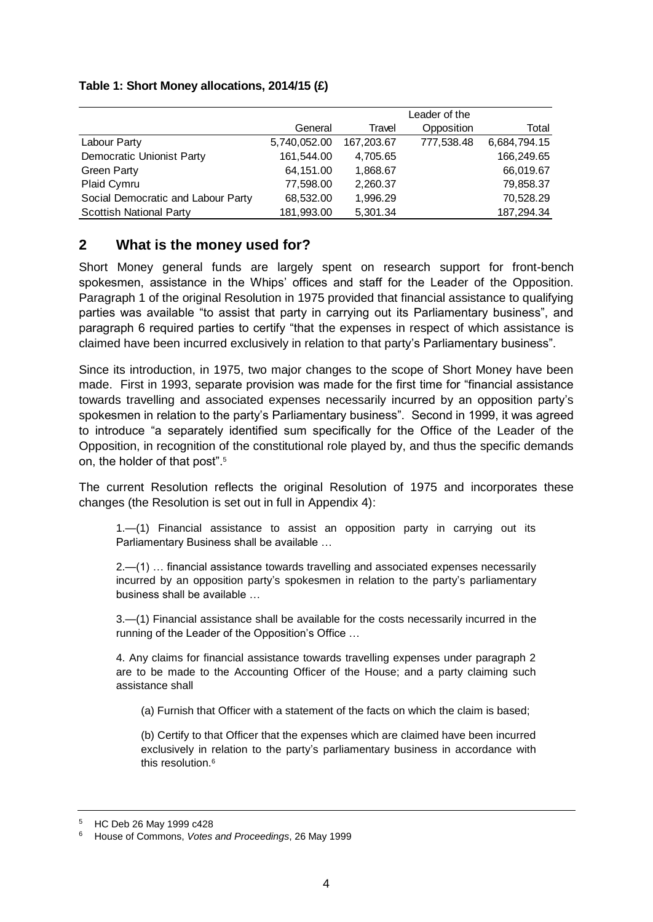#### **Table 1: Short Money allocations, 2014/15 (£)**

|                                    |              |            | Leader of the |              |
|------------------------------------|--------------|------------|---------------|--------------|
|                                    | General      | Travel     | Opposition    | Total        |
| Labour Party                       | 5,740,052.00 | 167.203.67 | 777,538.48    | 6,684,794.15 |
| Democratic Unionist Party          | 161,544.00   | 4,705.65   |               | 166,249.65   |
| <b>Green Party</b>                 | 64,151.00    | 1,868.67   |               | 66,019.67    |
| Plaid Cymru                        | 77,598.00    | 2,260.37   |               | 79,858.37    |
| Social Democratic and Labour Party | 68,532.00    | 1,996.29   |               | 70,528.29    |
| <b>Scottish National Party</b>     | 181,993.00   | 5,301.34   |               | 187,294.34   |

## <span id="page-3-0"></span>**2 What is the money used for?**

Short Money general funds are largely spent on research support for front-bench spokesmen, assistance in the Whips' offices and staff for the Leader of the Opposition. Paragraph 1 of the original Resolution in 1975 provided that financial assistance to qualifying parties was available "to assist that party in carrying out its Parliamentary business", and paragraph 6 required parties to certify "that the expenses in respect of which assistance is claimed have been incurred exclusively in relation to that party's Parliamentary business".

Since its introduction, in 1975, two major changes to the scope of Short Money have been made. First in 1993, separate provision was made for the first time for "financial assistance towards travelling and associated expenses necessarily incurred by an opposition party's spokesmen in relation to the party's Parliamentary business". Second in 1999, it was agreed to introduce "a separately identified sum specifically for the Office of the Leader of the Opposition, in recognition of the constitutional role played by, and thus the specific demands on, the holder of that post".<sup>5</sup>

The current Resolution reflects the original Resolution of 1975 and incorporates these changes (the Resolution is set out in full in Appendix 4):

1.—(1) Financial assistance to assist an opposition party in carrying out its Parliamentary Business shall be available …

2.—(1) … financial assistance towards travelling and associated expenses necessarily incurred by an opposition party's spokesmen in relation to the party's parliamentary business shall be available …

3.—(1) Financial assistance shall be available for the costs necessarily incurred in the running of the Leader of the Opposition's Office …

4. Any claims for financial assistance towards travelling expenses under paragraph 2 are to be made to the Accounting Officer of the House; and a party claiming such assistance shall

(a) Furnish that Officer with a statement of the facts on which the claim is based;

(b) Certify to that Officer that the expenses which are claimed have been incurred exclusively in relation to the party's parliamentary business in accordance with this resolution 6

<sup>5</sup> HC Deb 26 May 1999 c428

<sup>6</sup> House of Commons, *Votes and Proceedings*, 26 May 1999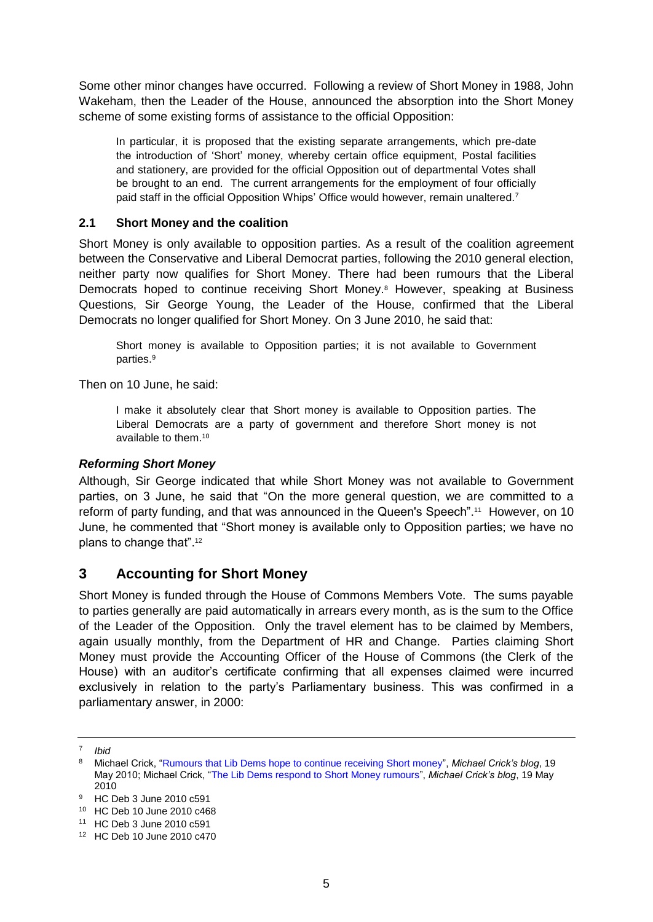Some other minor changes have occurred. Following a review of Short Money in 1988, John Wakeham, then the Leader of the House, announced the absorption into the Short Money scheme of some existing forms of assistance to the official Opposition:

In particular, it is proposed that the existing separate arrangements, which pre-date the introduction of 'Short' money, whereby certain office equipment, Postal facilities and stationery, are provided for the official Opposition out of departmental Votes shall be brought to an end. The current arrangements for the employment of four officially paid staff in the official Opposition Whips' Office would however, remain unaltered.<sup>7</sup>

#### <span id="page-4-0"></span>**2.1 Short Money and the coalition**

Short Money is only available to opposition parties. As a result of the coalition agreement between the Conservative and Liberal Democrat parties, following the 2010 general election, neither party now qualifies for Short Money. There had been rumours that the Liberal Democrats hoped to continue receiving Short Money.<sup>8</sup> However, speaking at Business Questions, Sir George Young, the Leader of the House, confirmed that the Liberal Democrats no longer qualified for Short Money. On 3 June 2010, he said that:

Short money is available to Opposition parties; it is not available to Government parties.<sup>9</sup>

Then on 10 June, he said:

I make it absolutely clear that Short money is available to Opposition parties. The Liberal Democrats are a party of government and therefore Short money is not available to them.<sup>10</sup>

#### <span id="page-4-1"></span>*Reforming Short Money*

Although, Sir George indicated that while Short Money was not available to Government parties, on 3 June, he said that "On the more general question, we are committed to a reform of party funding, and that was announced in the Queen's Speech".<sup>11</sup> However, on 10 June, he commented that "Short money is available only to Opposition parties; we have no plans to change that".<sup>12</sup>

## <span id="page-4-2"></span>**3 Accounting for Short Money**

Short Money is funded through the House of Commons Members Vote. The sums payable to parties generally are paid automatically in arrears every month, as is the sum to the Office of the Leader of the Opposition. Only the travel element has to be claimed by Members, again usually monthly, from the Department of HR and Change. Parties claiming Short Money must provide the Accounting Officer of the House of Commons (the Clerk of the House) with an auditor's certificate confirming that all expenses claimed were incurred exclusively in relation to the party's Parliamentary business. This was confirmed in a parliamentary answer, in 2000:

<sup>7</sup> *Ibid*

<sup>8</sup> Michael Crick, ["Rumours that Lib Dems hope to continue receiving Short money"](http://www.bbc.co.uk/blogs/newsnight/michaelcrick/2010/05/post.html), *Michael Crick's blog*, 19 May 2010; Michael Crick, ["The Lib Dems respond to Short Money rumours"](http://www.bbc.co.uk/blogs/newsnight/michaelcrick/2010/05/the_lib_dems_respond_on_short.html), *Michael Crick's blog*, 19 May 2010

<sup>9</sup> HC Deb 3 June 2010 c591

<sup>10</sup> HC Deb 10 June 2010 c468

<sup>11</sup> HC Deb 3 June 2010 c591

<sup>12</sup> HC Deb 10 June 2010 c470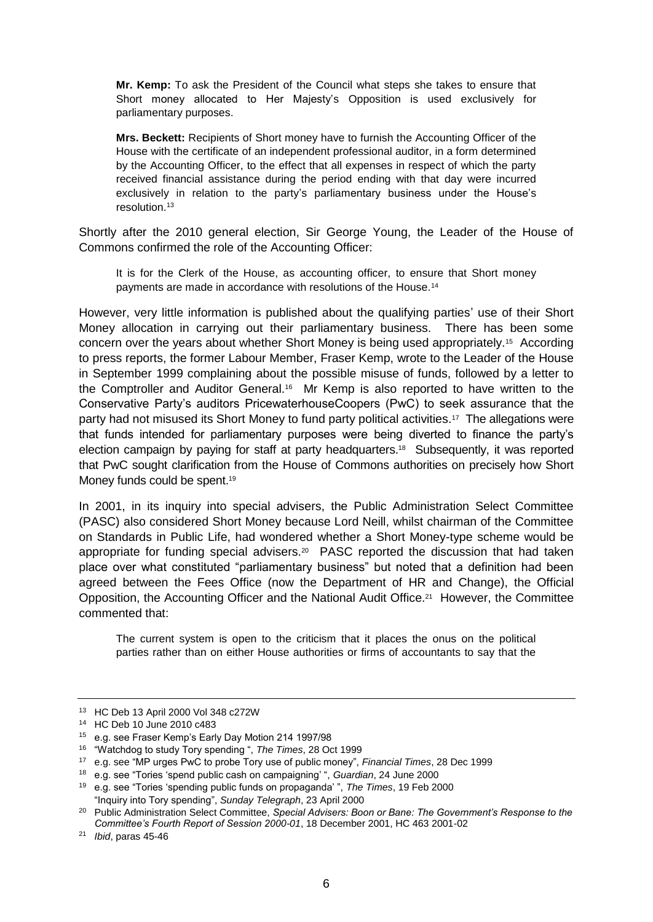**Mr. Kemp:** To ask the President of the Council what steps she takes to ensure that Short money allocated to Her Majesty's Opposition is used exclusively for parliamentary purposes.

**Mrs. Beckett:** Recipients of Short money have to furnish the Accounting Officer of the House with the certificate of an independent professional auditor, in a form determined by the Accounting Officer, to the effect that all expenses in respect of which the party received financial assistance during the period ending with that day were incurred exclusively in relation to the party's parliamentary business under the House's resolution.<sup>13</sup>

Shortly after the 2010 general election, Sir George Young, the Leader of the House of Commons confirmed the role of the Accounting Officer:

It is for the Clerk of the House, as accounting officer, to ensure that Short money payments are made in accordance with resolutions of the House.<sup>14</sup>

However, very little information is published about the qualifying parties' use of their Short Money allocation in carrying out their parliamentary business. There has been some concern over the years about whether Short Money is being used appropriately.<sup>15</sup> According to press reports, the former Labour Member, Fraser Kemp, wrote to the Leader of the House in September 1999 complaining about the possible misuse of funds, followed by a letter to the Comptroller and Auditor General.<sup>16</sup> Mr Kemp is also reported to have written to the Conservative Party's auditors PricewaterhouseCoopers (PwC) to seek assurance that the party had not misused its Short Money to fund party political activities.<sup>17</sup> The allegations were that funds intended for parliamentary purposes were being diverted to finance the party's election campaign by paying for staff at party headquarters.<sup>18</sup> Subsequently, it was reported that PwC sought clarification from the House of Commons authorities on precisely how Short Money funds could be spent.<sup>19</sup>

In 2001, in its inquiry into special advisers, the Public Administration Select Committee (PASC) also considered Short Money because Lord Neill, whilst chairman of the Committee on Standards in Public Life, had wondered whether a Short Money-type scheme would be appropriate for funding special advisers.<sup>20</sup> PASC reported the discussion that had taken place over what constituted "parliamentary business" but noted that a definition had been agreed between the Fees Office (now the Department of HR and Change), the Official Opposition, the Accounting Officer and the National Audit Office.<sup>21</sup> However, the Committee commented that:

The current system is open to the criticism that it places the onus on the political parties rather than on either House authorities or firms of accountants to say that the

<sup>13</sup> HC Deb 13 April 2000 Vol 348 c272W

<sup>14</sup> HC Deb 10 June 2010 c483

<sup>15</sup> e.g. see Fraser Kemp's Early Day Motion 214 1997/98

<sup>16</sup> "Watchdog to study Tory spending ", *The Times*, 28 Oct 1999

<sup>17</sup> e.g. see "MP urges PwC to probe Tory use of public money", *Financial Times*, 28 Dec 1999

<sup>18</sup> e.g. see "Tories 'spend public cash on campaigning' ", *Guardian*, 24 June 2000

<sup>19</sup> e.g. see "Tories 'spending public funds on propaganda' ", *The Times*, 19 Feb 2000 "Inquiry into Tory spending", *Sunday Telegraph*, 23 April 2000

<sup>20</sup> Public Administration Select Committee, *Special Advisers: Boon or Bane: The Government's Response to the Committee's Fourth Report of Session 2000-01*, 18 December 2001, HC 463 2001-02

<sup>21</sup> *Ibid*, paras 45-46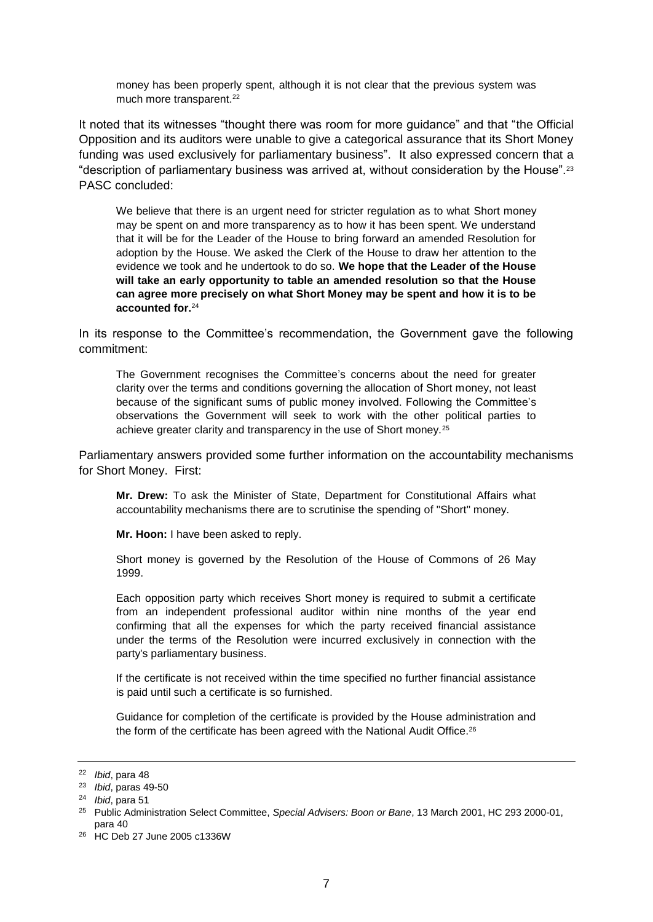money has been properly spent, although it is not clear that the previous system was much more transparent.<sup>22</sup>

It noted that its witnesses "thought there was room for more guidance" and that "the Official Opposition and its auditors were unable to give a categorical assurance that its Short Money funding was used exclusively for parliamentary business". It also expressed concern that a "description of parliamentary business was arrived at, without consideration by the House".<sup>23</sup> PASC concluded:

We believe that there is an urgent need for stricter regulation as to what Short money may be spent on and more transparency as to how it has been spent. We understand that it will be for the Leader of the House to bring forward an amended Resolution for adoption by the House. We asked the Clerk of the House to draw her attention to the evidence we took and he undertook to do so. **We hope that the Leader of the House will take an early opportunity to table an amended resolution so that the House can agree more precisely on what Short Money may be spent and how it is to be accounted for.**<sup>24</sup>

In its response to the Committee's recommendation, the Government gave the following commitment:

The Government recognises the Committee's concerns about the need for greater clarity over the terms and conditions governing the allocation of Short money, not least because of the significant sums of public money involved. Following the Committee's observations the Government will seek to work with the other political parties to achieve greater clarity and transparency in the use of Short money.<sup>25</sup>

Parliamentary answers provided some further information on the accountability mechanisms for Short Money. First:

**Mr. Drew:** To ask the Minister of State, Department for Constitutional Affairs what accountability mechanisms there are to scrutinise the spending of "Short" money.

**Mr. Hoon:** I have been asked to reply.

Short money is governed by the Resolution of the House of Commons of 26 May 1999.

Each opposition party which receives Short money is required to submit a certificate from an independent professional auditor within nine months of the year end confirming that all the expenses for which the party received financial assistance under the terms of the Resolution were incurred exclusively in connection with the party's parliamentary business.

If the certificate is not received within the time specified no further financial assistance is paid until such a certificate is so furnished.

Guidance for completion of the certificate is provided by the House administration and the form of the certificate has been agreed with the National Audit Office.<sup>26</sup>

<sup>22</sup> *Ibid*, para 48

<sup>23</sup> *Ibid*, paras 49-50

<sup>24</sup> *Ibid*, para 51

<sup>25</sup> Public Administration Select Committee, *Special Advisers: Boon or Bane*, 13 March 2001, HC 293 2000-01, para 40

<sup>26</sup> HC Deb 27 June 2005 c1336W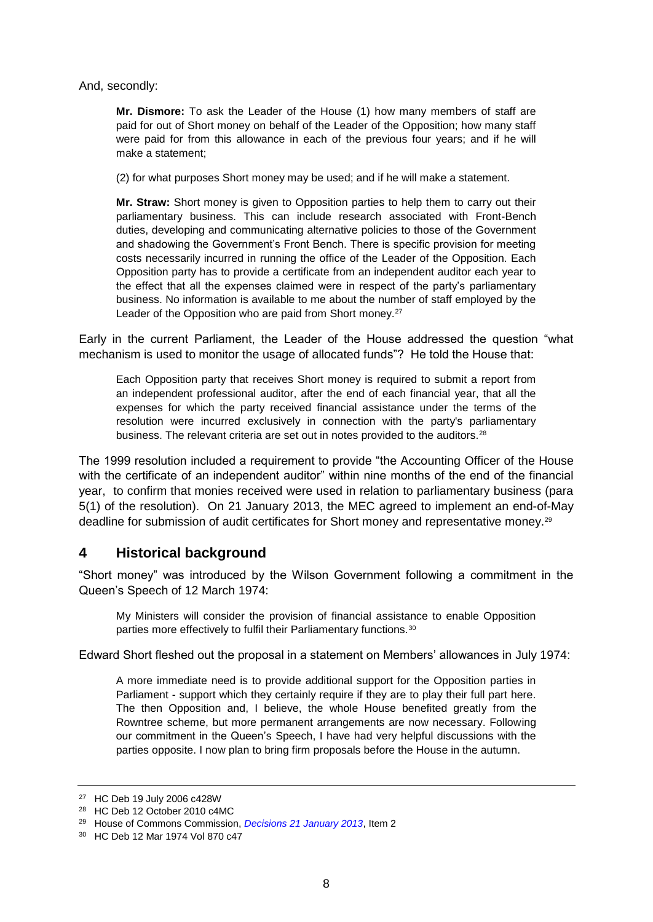And, secondly:

**Mr. Dismore:** To ask the Leader of the House (1) how many members of staff are paid for out of Short money on behalf of the Leader of the Opposition; how many staff were paid for from this allowance in each of the previous four years; and if he will make a statement;

(2) for what purposes Short money may be used; and if he will make a statement.

**Mr. Straw:** Short money is given to Opposition parties to help them to carry out their parliamentary business. This can include research associated with Front-Bench duties, developing and communicating alternative policies to those of the Government and shadowing the Government's Front Bench. There is specific provision for meeting costs necessarily incurred in running the office of the Leader of the Opposition. Each Opposition party has to provide a certificate from an independent auditor each year to the effect that all the expenses claimed were in respect of the party's parliamentary business. No information is available to me about the number of staff employed by the Leader of the Opposition who are paid from Short money.<sup>27</sup>

Early in the current Parliament, the Leader of the House addressed the question "what mechanism is used to monitor the usage of allocated funds"? He told the House that:

Each Opposition party that receives Short money is required to submit a report from an independent professional auditor, after the end of each financial year, that all the expenses for which the party received financial assistance under the terms of the resolution were incurred exclusively in connection with the party's parliamentary business. The relevant criteria are set out in notes provided to the auditors.<sup>28</sup>

The 1999 resolution included a requirement to provide "the Accounting Officer of the House with the certificate of an independent auditor" within nine months of the end of the financial year, to confirm that monies received were used in relation to parliamentary business (para 5(1) of the resolution). On 21 January 2013, the MEC agreed to implement an end-of-May deadline for submission of audit certificates for Short money and representative money.<sup>29</sup>

## <span id="page-7-0"></span>**4 Historical background**

"Short money" was introduced by the Wilson Government following a commitment in the Queen's Speech of 12 March 1974:

My Ministers will consider the provision of financial assistance to enable Opposition parties more effectively to fulfil their Parliamentary functions.<sup>30</sup>

Edward Short fleshed out the proposal in a statement on Members' allowances in July 1974:

A more immediate need is to provide additional support for the Opposition parties in Parliament - support which they certainly require if they are to play their full part here. The then Opposition and, I believe, the whole House benefited greatly from the Rowntree scheme, but more permanent arrangements are now necessary. Following our commitment in the Queen's Speech, I have had very helpful discussions with the parties opposite. I now plan to bring firm proposals before the House in the autumn.

<sup>27</sup> HC Deb 19 July 2006 c428W

<sup>28</sup> HC Deb 12 October 2010 c4MC

<sup>29</sup> House of Commons Commission, *[Decisions 21 January 2013](http://www.parliament.uk/mps-lords-and-offices/offices/commons/house-of-commons-commission/minutes/decisions-2013/hcc-210113/)*, Item 2

<sup>30</sup> HC Deb 12 Mar 1974 Vol 870 c47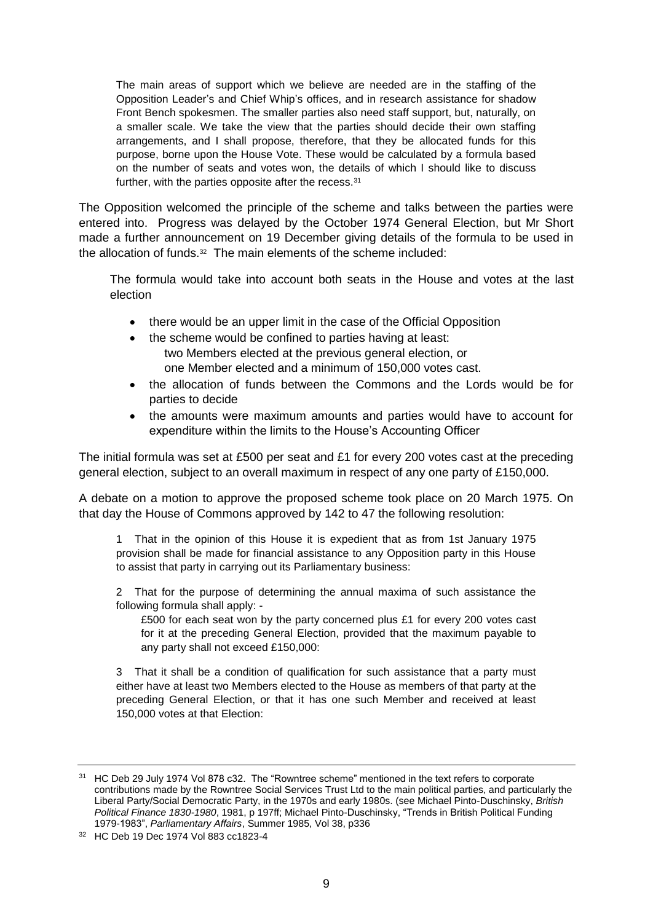The main areas of support which we believe are needed are in the staffing of the Opposition Leader's and Chief Whip's offices, and in research assistance for shadow Front Bench spokesmen. The smaller parties also need staff support, but, naturally, on a smaller scale. We take the view that the parties should decide their own staffing arrangements, and I shall propose, therefore, that they be allocated funds for this purpose, borne upon the House Vote. These would be calculated by a formula based on the number of seats and votes won, the details of which I should like to discuss further, with the parties opposite after the recess.<sup>31</sup>

The Opposition welcomed the principle of the scheme and talks between the parties were entered into. Progress was delayed by the October 1974 General Election, but Mr Short made a further announcement on 19 December giving details of the formula to be used in the allocation of funds.<sup>32</sup> The main elements of the scheme included:

The formula would take into account both seats in the House and votes at the last election

- there would be an upper limit in the case of the Official Opposition
- the scheme would be confined to parties having at least: two Members elected at the previous general election, or one Member elected and a minimum of 150,000 votes cast.
- the allocation of funds between the Commons and the Lords would be for parties to decide
- the amounts were maximum amounts and parties would have to account for expenditure within the limits to the House's Accounting Officer

The initial formula was set at £500 per seat and £1 for every 200 votes cast at the preceding general election, subject to an overall maximum in respect of any one party of £150,000.

A debate on a motion to approve the proposed scheme took place on 20 March 1975. On that day the House of Commons approved by 142 to 47 the following resolution:

1 That in the opinion of this House it is expedient that as from 1st January 1975 provision shall be made for financial assistance to any Opposition party in this House to assist that party in carrying out its Parliamentary business:

2 That for the purpose of determining the annual maxima of such assistance the following formula shall apply: -

£500 for each seat won by the party concerned plus £1 for every 200 votes cast for it at the preceding General Election, provided that the maximum payable to any party shall not exceed £150,000:

3 That it shall be a condition of qualification for such assistance that a party must either have at least two Members elected to the House as members of that party at the preceding General Election, or that it has one such Member and received at least 150,000 votes at that Election:

<sup>&</sup>lt;sup>31</sup> HC Deb 29 July 1974 Vol 878 c32. The "Rowntree scheme" mentioned in the text refers to corporate contributions made by the Rowntree Social Services Trust Ltd to the main political parties, and particularly the Liberal Party/Social Democratic Party, in the 1970s and early 1980s. (see Michael Pinto-Duschinsky, *British Political Finance 1830-1980*, 1981, p 197ff; Michael Pinto-Duschinsky, "Trends in British Political Funding 1979-1983", *Parliamentary Affairs*, Summer 1985, Vol 38, p336

<sup>32</sup> HC Deb 19 Dec 1974 Vol 883 cc1823-4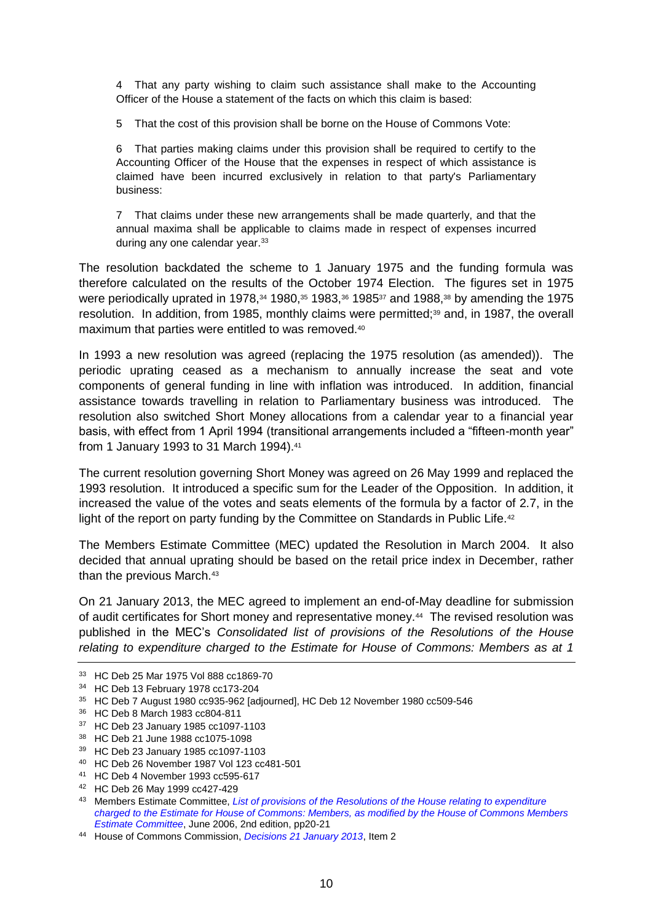4 That any party wishing to claim such assistance shall make to the Accounting Officer of the House a statement of the facts on which this claim is based:

5 That the cost of this provision shall be borne on the House of Commons Vote:

6 That parties making claims under this provision shall be required to certify to the Accounting Officer of the House that the expenses in respect of which assistance is claimed have been incurred exclusively in relation to that party's Parliamentary business:

7 That claims under these new arrangements shall be made quarterly, and that the annual maxima shall be applicable to claims made in respect of expenses incurred during any one calendar year.<sup>33</sup>

The resolution backdated the scheme to 1 January 1975 and the funding formula was therefore calculated on the results of the October 1974 Election. The figures set in 1975 were periodically uprated in 1978,<sup>34</sup> 1980,<sup>35</sup> 1983,<sup>36</sup> 1985<sup>37</sup> and 1988,<sup>38</sup> by amending the 1975 resolution. In addition, from 1985, monthly claims were permitted;<sup>39</sup> and, in 1987, the overall maximum that parties were entitled to was removed.<sup>40</sup>

In 1993 a new resolution was agreed (replacing the 1975 resolution (as amended)). The periodic uprating ceased as a mechanism to annually increase the seat and vote components of general funding in line with inflation was introduced. In addition, financial assistance towards travelling in relation to Parliamentary business was introduced. The resolution also switched Short Money allocations from a calendar year to a financial year basis, with effect from 1 April 1994 (transitional arrangements included a "fifteen-month year" from 1 January 1993 to 31 March 1994).<sup>41</sup>

The current resolution governing Short Money was agreed on 26 May 1999 and replaced the 1993 resolution. It introduced a specific sum for the Leader of the Opposition. In addition, it increased the value of the votes and seats elements of the formula by a factor of 2.7, in the light of the report on party funding by the Committee on Standards in Public Life.<sup>42</sup>

The Members Estimate Committee (MEC) updated the Resolution in March 2004. It also decided that annual uprating should be based on the retail price index in December, rather than the previous March.<sup>43</sup>

On 21 January 2013, the MEC agreed to implement an end-of-May deadline for submission of audit certificates for Short money and representative money.<sup>44</sup> The revised resolution was published in the MEC's *Consolidated list of provisions of the Resolutions of the House relating to expenditure charged to the Estimate for House of Commons: Members as at 1* 

- <sup>36</sup> HC Deb 8 March 1983 cc804-811
- <sup>37</sup> HC Deb 23 January 1985 cc1097-1103
- <sup>38</sup> HC Deb 21 June 1988 cc1075-1098
- <sup>39</sup> HC Deb 23 January 1985 cc1097-1103
- <sup>40</sup> HC Deb 26 November 1987 Vol 123 cc481-501
- <sup>41</sup> HC Deb 4 November 1993 cc595-617
- <sup>42</sup> HC Deb 26 May 1999 cc427-429
- <sup>43</sup> Members Estimate Committee, *[List of provisions of the Resolutions of the House relating to expenditure](http://www.publications.parliament.uk/pa/cm200506/cmselect/cmmemest/950/950ii.pdf)  [charged to the Estimate for House of Commons: Members, as modified by the House of Commons Members](http://www.publications.parliament.uk/pa/cm200506/cmselect/cmmemest/950/950ii.pdf)  [Estimate Committee](http://www.publications.parliament.uk/pa/cm200506/cmselect/cmmemest/950/950ii.pdf)*, June 2006, 2nd edition, pp20-21
- <sup>44</sup> House of Commons Commission, *[Decisions 21 January 2013](http://www.parliament.uk/mps-lords-and-offices/offices/commons/house-of-commons-commission/minutes/decisions-2013/hcc-210113/)*, Item 2

<sup>33</sup> HC Deb 25 Mar 1975 Vol 888 cc1869-70

<sup>34</sup> HC Deb 13 February 1978 cc173-204

<sup>35</sup> HC Deb 7 August 1980 cc935-962 [adjourned], HC Deb 12 November 1980 cc509-546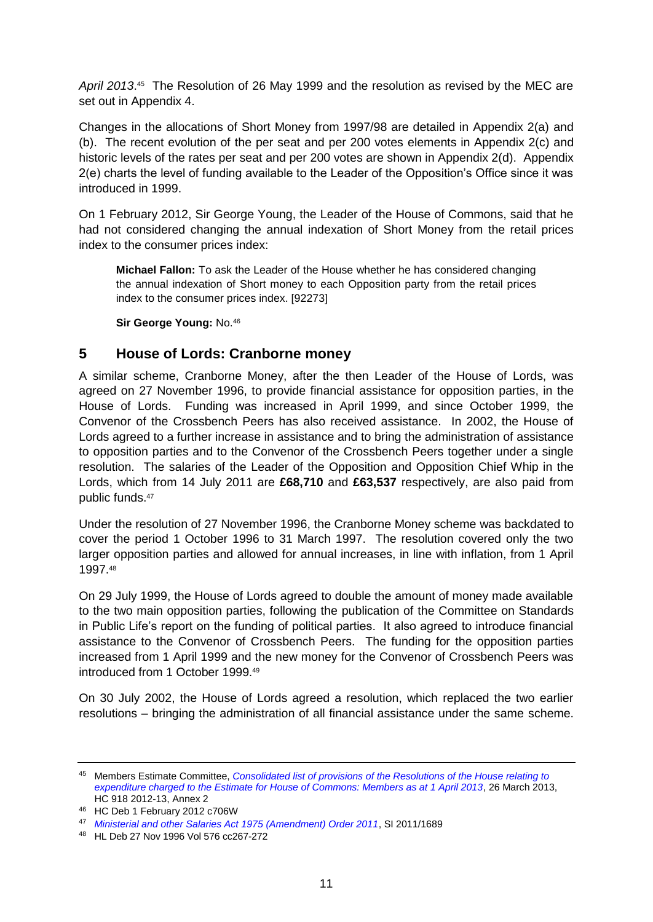April 2013.<sup>45</sup> The Resolution of 26 May 1999 and the resolution as revised by the MEC are set out in Appendix 4.

Changes in the allocations of Short Money from 1997/98 are detailed in Appendix 2(a) and (b). The recent evolution of the per seat and per 200 votes elements in Appendix 2(c) and historic levels of the rates per seat and per 200 votes are shown in Appendix 2(d). Appendix 2(e) charts the level of funding available to the Leader of the Opposition's Office since it was introduced in 1999.

On 1 February 2012, Sir George Young, the Leader of the House of Commons, said that he had not considered changing the annual indexation of Short Money from the retail prices index to the consumer prices index:

**Michael Fallon:** To ask the Leader of the House whether he has considered changing the annual indexation of Short money to each Opposition party from the retail prices index to the consumer prices index. [92273]

**Sir George Young:** No.<sup>46</sup>

## <span id="page-10-0"></span>**5 House of Lords: Cranborne money**

A similar scheme, Cranborne Money, after the then Leader of the House of Lords, was agreed on 27 November 1996, to provide financial assistance for opposition parties, in the House of Lords. Funding was increased in April 1999, and since October 1999, the Convenor of the Crossbench Peers has also received assistance. In 2002, the House of Lords agreed to a further increase in assistance and to bring the administration of assistance to opposition parties and to the Convenor of the Crossbench Peers together under a single resolution. The salaries of the Leader of the Opposition and Opposition Chief Whip in the Lords, which from 14 July 2011 are **£68,710** and **£63,537** respectively, are also paid from public funds.<sup>47</sup>

Under the resolution of 27 November 1996, the Cranborne Money scheme was backdated to cover the period 1 October 1996 to 31 March 1997. The resolution covered only the two larger opposition parties and allowed for annual increases, in line with inflation, from 1 April 1997.<sup>48</sup>

On 29 July 1999, the House of Lords agreed to double the amount of money made available to the two main opposition parties, following the publication of the Committee on Standards in Public Life's report on the funding of political parties. It also agreed to introduce financial assistance to the Convenor of Crossbench Peers. The funding for the opposition parties increased from 1 April 1999 and the new money for the Convenor of Crossbench Peers was introduced from 1 October 1999.<sup>49</sup>

On 30 July 2002, the House of Lords agreed a resolution, which replaced the two earlier resolutions – bringing the administration of all financial assistance under the same scheme.

<sup>45</sup> Members Estimate Committee, *[Consolidated list of provisions of the Resolutions of the House relating to](http://www.publications.parliament.uk/pa/cm201213/cmselect/cmmember/918/918.pdf)  [expenditure charged to the Estimate for House of Commons: Members as at 1 April 2013](http://www.publications.parliament.uk/pa/cm201213/cmselect/cmmember/918/918.pdf)*, 26 March 2013, HC 918 2012-13, Annex 2

<sup>46</sup> HC Deb 1 February 2012 c706W

<sup>47</sup> *[Ministerial and other Salaries Act 1975 \(Amendment\) Order 2011](http://www.legislation.gov.uk/uksi/2011/1689/made)*, SI 2011/1689

<sup>48</sup> HL Deb 27 Nov 1996 Vol 576 cc267-272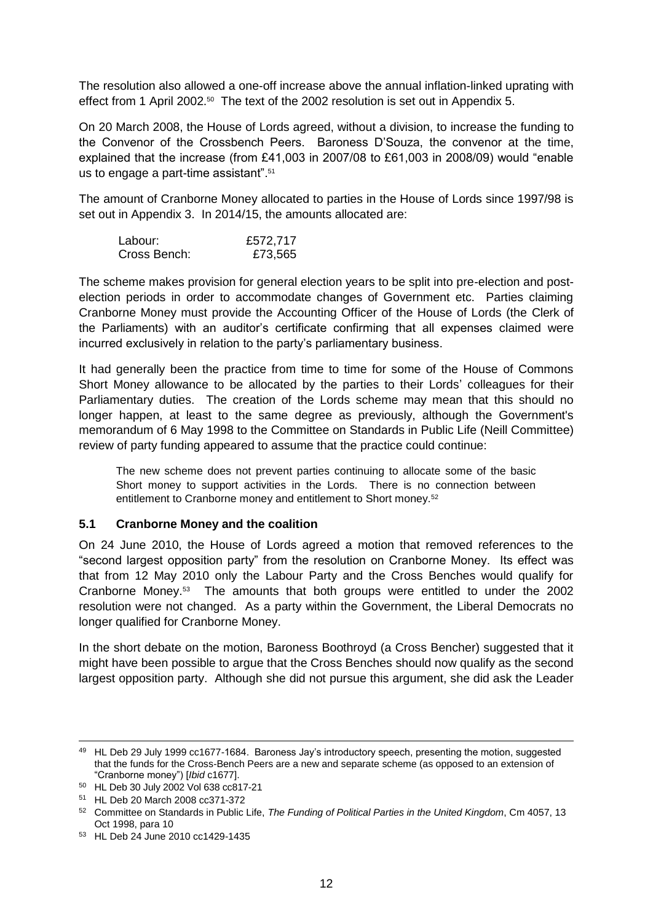The resolution also allowed a one-off increase above the annual inflation-linked uprating with effect from 1 April 2002.<sup>50</sup> The text of the 2002 resolution is set out in Appendix 5.

On 20 March 2008, the House of Lords agreed, without a division, to increase the funding to the Convenor of the Crossbench Peers. Baroness D'Souza, the convenor at the time, explained that the increase (from £41,003 in 2007/08 to £61,003 in 2008/09) would "enable us to engage a part-time assistant".<sup>51</sup>

The amount of Cranborne Money allocated to parties in the House of Lords since 1997/98 is set out in Appendix 3. In 2014/15, the amounts allocated are:

| Labour:      | £572,717 |
|--------------|----------|
| Cross Bench: | £73,565  |

The scheme makes provision for general election years to be split into pre-election and postelection periods in order to accommodate changes of Government etc. Parties claiming Cranborne Money must provide the Accounting Officer of the House of Lords (the Clerk of the Parliaments) with an auditor's certificate confirming that all expenses claimed were incurred exclusively in relation to the party's parliamentary business.

It had generally been the practice from time to time for some of the House of Commons Short Money allowance to be allocated by the parties to their Lords' colleagues for their Parliamentary duties. The creation of the Lords scheme may mean that this should no longer happen, at least to the same degree as previously, although the Government's memorandum of 6 May 1998 to the Committee on Standards in Public Life (Neill Committee) review of party funding appeared to assume that the practice could continue:

The new scheme does not prevent parties continuing to allocate some of the basic Short money to support activities in the Lords. There is no connection between entitlement to Cranborne money and entitlement to Short money.<sup>52</sup>

#### <span id="page-11-0"></span>**5.1 Cranborne Money and the coalition**

On 24 June 2010, the House of Lords agreed a motion that removed references to the "second largest opposition party" from the resolution on Cranborne Money. Its effect was that from 12 May 2010 only the Labour Party and the Cross Benches would qualify for Cranborne Money.<sup>53</sup> The amounts that both groups were entitled to under the 2002 resolution were not changed. As a party within the Government, the Liberal Democrats no longer qualified for Cranborne Money.

In the short debate on the motion, Baroness Boothroyd (a Cross Bencher) suggested that it might have been possible to argue that the Cross Benches should now qualify as the second largest opposition party. Although she did not pursue this argument, she did ask the Leader

-

<sup>49</sup> HL Deb 29 July 1999 cc1677-1684. Baroness Jay's introductory speech, presenting the motion, suggested that the funds for the Cross-Bench Peers are a new and separate scheme (as opposed to an extension of "Cranborne money") [*Ibid* c1677].

<sup>50</sup> HL Deb 30 July 2002 Vol 638 cc817-21

<sup>51</sup> HL Deb 20 March 2008 cc371-372

<sup>52</sup> Committee on Standards in Public Life, *The Funding of Political Parties in the United Kingdom*, Cm 4057, 13 Oct 1998, para 10

<sup>53</sup> HL Deb 24 June 2010 cc1429-1435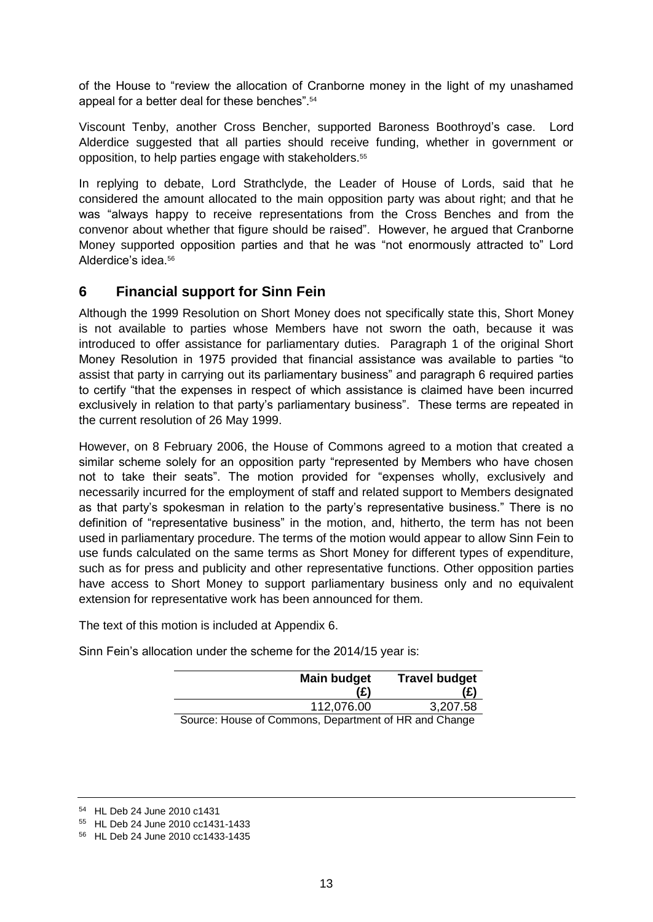of the House to "review the allocation of Cranborne money in the light of my unashamed appeal for a better deal for these benches".<sup>54</sup>

Viscount Tenby, another Cross Bencher, supported Baroness Boothroyd's case. Lord Alderdice suggested that all parties should receive funding, whether in government or opposition, to help parties engage with stakeholders.<sup>55</sup>

In replying to debate, Lord Strathclyde, the Leader of House of Lords, said that he considered the amount allocated to the main opposition party was about right; and that he was "always happy to receive representations from the Cross Benches and from the convenor about whether that figure should be raised". However, he argued that Cranborne Money supported opposition parties and that he was "not enormously attracted to" Lord Alderdice's idea <sup>56</sup>

## <span id="page-12-0"></span>**6 Financial support for Sinn Fein**

Although the 1999 Resolution on Short Money does not specifically state this, Short Money is not available to parties whose Members have not sworn the oath, because it was introduced to offer assistance for parliamentary duties. Paragraph 1 of the original Short Money Resolution in 1975 provided that financial assistance was available to parties "to assist that party in carrying out its parliamentary business" and paragraph 6 required parties to certify "that the expenses in respect of which assistance is claimed have been incurred exclusively in relation to that party's parliamentary business". These terms are repeated in the current resolution of 26 May 1999.

However, on 8 February 2006, the House of Commons agreed to a motion that created a similar scheme solely for an opposition party "represented by Members who have chosen not to take their seats". The motion provided for "expenses wholly, exclusively and necessarily incurred for the employment of staff and related support to Members designated as that party's spokesman in relation to the party's representative business." There is no definition of "representative business" in the motion, and, hitherto, the term has not been used in parliamentary procedure. The terms of the motion would appear to allow Sinn Fein to use funds calculated on the same terms as Short Money for different types of expenditure, such as for press and publicity and other representative functions. Other opposition parties have access to Short Money to support parliamentary business only and no equivalent extension for representative work has been announced for them.

The text of this motion is included at Appendix 6.

Sinn Fein's allocation under the scheme for the 2014/15 year is:

| <b>Main budget</b>                                    | <b>Travel budget</b> |
|-------------------------------------------------------|----------------------|
| (£)                                                   |                      |
| 112,076.00                                            | 3,207.58             |
| Source: House of Commons. Department of HR and Change |                      |

Source: House of Commons, Department of

<sup>54</sup> HL Deb 24 June 2010 c1431

<sup>55</sup> HL Deb 24 June 2010 cc1431-1433

<sup>56</sup> HL Deb 24 June 2010 cc1433-1435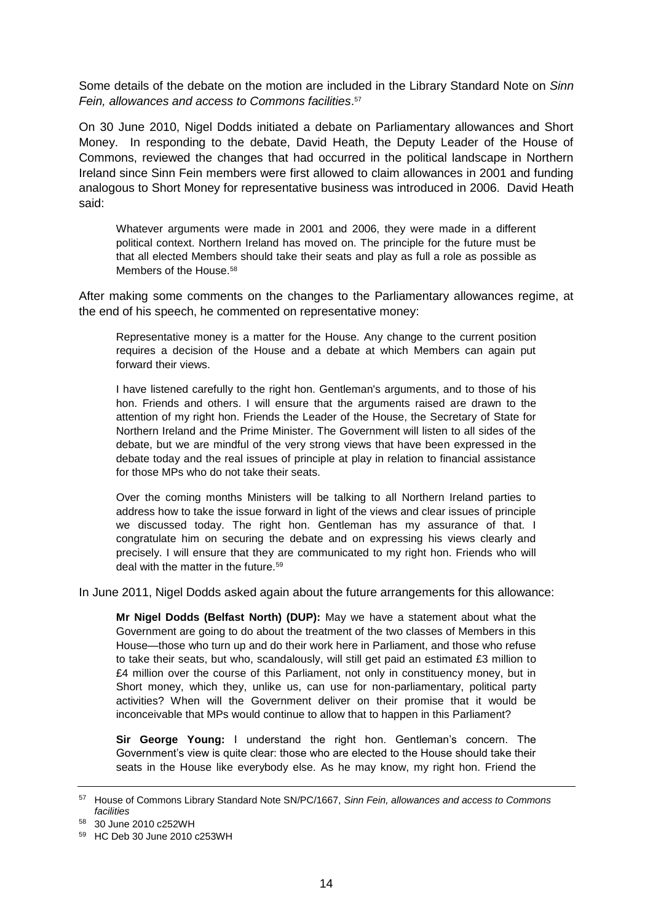Some details of the debate on the motion are included in the Library Standard Note on *Sinn Fein, allowances and access to Commons facilities*. 57

On 30 June 2010, Nigel Dodds initiated a debate on Parliamentary allowances and Short Money. In responding to the debate, David Heath, the Deputy Leader of the House of Commons, reviewed the changes that had occurred in the political landscape in Northern Ireland since Sinn Fein members were first allowed to claim allowances in 2001 and funding analogous to Short Money for representative business was introduced in 2006. David Heath said:

Whatever arguments were made in 2001 and 2006, they were made in a different political context. Northern Ireland has moved on. The principle for the future must be that all elected Members should take their seats and play as full a role as possible as Members of the House.<sup>58</sup>

After making some comments on the changes to the Parliamentary allowances regime, at the end of his speech, he commented on representative money:

Representative money is a matter for the House. Any change to the current position requires a decision of the House and a debate at which Members can again put forward their views.

I have listened carefully to the right hon. Gentleman's arguments, and to those of his hon. Friends and others. I will ensure that the arguments raised are drawn to the attention of my right hon. Friends the Leader of the House, the Secretary of State for Northern Ireland and the Prime Minister. The Government will listen to all sides of the debate, but we are mindful of the very strong views that have been expressed in the debate today and the real issues of principle at play in relation to financial assistance for those MPs who do not take their seats.

Over the coming months Ministers will be talking to all Northern Ireland parties to address how to take the issue forward in light of the views and clear issues of principle we discussed today. The right hon. Gentleman has my assurance of that. I congratulate him on securing the debate and on expressing his views clearly and precisely. I will ensure that they are communicated to my right hon. Friends who will deal with the matter in the future.<sup>59</sup>

In June 2011, Nigel Dodds asked again about the future arrangements for this allowance:

**Mr Nigel Dodds (Belfast North) (DUP):** May we have a statement about what the Government are going to do about the treatment of the two classes of Members in this House—those who turn up and do their work here in Parliament, and those who refuse to take their seats, but who, scandalously, will still get paid an estimated £3 million to £4 million over the course of this Parliament, not only in constituency money, but in Short money, which they, unlike us, can use for non-parliamentary, political party activities? When will the Government deliver on their promise that it would be inconceivable that MPs would continue to allow that to happen in this Parliament?

**Sir George Young:** I understand the right hon. Gentleman's concern. The Government's view is quite clear: those who are elected to the House should take their seats in the House like everybody else. As he may know, my right hon. Friend the

<sup>57</sup> House of Commons Library Standard Note SN/PC/1667, *Sinn Fein, allowances and access to Commons facilities*

<sup>58</sup> 30 June 2010 c252WH

<sup>59</sup> HC Deb 30 June 2010 c253WH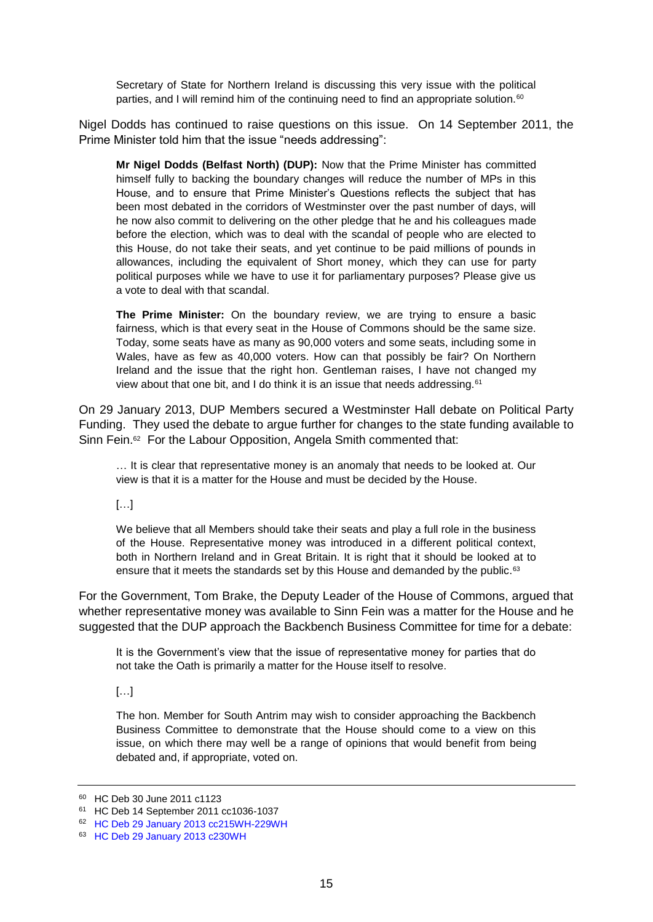Secretary of State for Northern Ireland is discussing this very issue with the political parties, and I will remind him of the continuing need to find an appropriate solution.<sup>60</sup>

Nigel Dodds has continued to raise questions on this issue. On 14 September 2011, the Prime Minister told him that the issue "needs addressing":

**Mr Nigel Dodds (Belfast North) (DUP):** Now that the Prime Minister has committed himself fully to backing the boundary changes will reduce the number of MPs in this House, and to ensure that Prime Minister's Questions reflects the subject that has been most debated in the corridors of Westminster over the past number of days, will he now also commit to delivering on the other pledge that he and his colleagues made before the election, which was to deal with the scandal of people who are elected to this House, do not take their seats, and yet continue to be paid millions of pounds in allowances, including the equivalent of Short money, which they can use for party political purposes while we have to use it for parliamentary purposes? Please give us a vote to deal with that scandal.

**The Prime Minister:** On the boundary review, we are trying to ensure a basic fairness, which is that every seat in the House of Commons should be the same size. Today, some seats have as many as 90,000 voters and some seats, including some in Wales, have as few as 40,000 voters. How can that possibly be fair? On Northern Ireland and the issue that the right hon. Gentleman raises, I have not changed my view about that one bit, and I do think it is an issue that needs addressing.<sup>61</sup>

On 29 January 2013, DUP Members secured a Westminster Hall debate on Political Party Funding. They used the debate to argue further for changes to the state funding available to Sinn Fein.<sup>62</sup> For the Labour Opposition, Angela Smith commented that:

… It is clear that representative money is an anomaly that needs to be looked at. Our view is that it is a matter for the House and must be decided by the House.

[…]

We believe that all Members should take their seats and play a full role in the business of the House. Representative money was introduced in a different political context, both in Northern Ireland and in Great Britain. It is right that it should be looked at to ensure that it meets the standards set by this House and demanded by the public.<sup>63</sup>

For the Government, Tom Brake, the Deputy Leader of the House of Commons, argued that whether representative money was available to Sinn Fein was a matter for the House and he suggested that the DUP approach the Backbench Business Committee for time for a debate:

It is the Government's view that the issue of representative money for parties that do not take the Oath is primarily a matter for the House itself to resolve.

 $[...]$ 

The hon. Member for South Antrim may wish to consider approaching the Backbench Business Committee to demonstrate that the House should come to a view on this issue, on which there may well be a range of opinions that would benefit from being debated and, if appropriate, voted on.

<sup>60</sup> HC Deb 30 June 2011 c1123

<sup>61</sup> HC Deb 14 September 2011 cc1036-1037

<sup>62</sup> [HC Deb 29 January 2013 cc215WH-229WH](http://www.publications.parliament.uk/pa/cm201213/cmhansrd/cm130129/halltext/130129h0001.htm#13012945000001)

<sup>63</sup> [HC Deb 29 January 2013 c230WH](http://www.publications.parliament.uk/pa/cm201213/cmhansrd/cm130129/halltext/130129h0002.htm#13012945000177)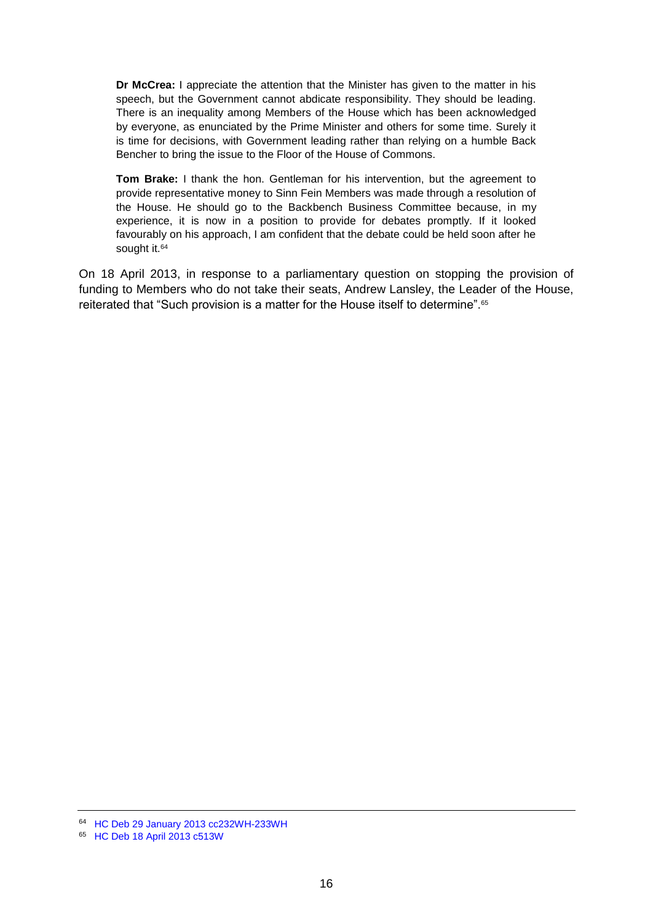**Dr McCrea:** I appreciate the attention that the Minister has given to the matter in his speech, but the Government cannot abdicate responsibility. They should be leading. There is an inequality among Members of the House which has been acknowledged by everyone, as enunciated by the Prime Minister and others for some time. Surely it is time for decisions, with Government leading rather than relying on a humble Back Bencher to bring the issue to the Floor of the House of Commons.

**Tom Brake:** I thank the hon. Gentleman for his intervention, but the agreement to provide representative money to Sinn Fein Members was made through a resolution of the House. He should go to the Backbench Business Committee because, in my experience, it is now in a position to provide for debates promptly. If it looked favourably on his approach, I am confident that the debate could be held soon after he sought it.<sup>64</sup>

On 18 April 2013, in response to a parliamentary question on stopping the provision of funding to Members who do not take their seats, Andrew Lansley, the Leader of the House, reiterated that "Such provision is a matter for the House itself to determine".<sup>65</sup>

<sup>64</sup> [HC Deb 29 January 2013 cc232WH-233WH](http://www.publications.parliament.uk/pa/cm201213/cmhansrd/cm130129/halltext/130129h0002.htm#13012945000180)

<sup>65</sup> [HC Deb 18 April 2013 c513W](http://www.publications.parliament.uk/pa/cm201213/cmhansrd/cm130418/text/130418w0001.htm#13041838000032)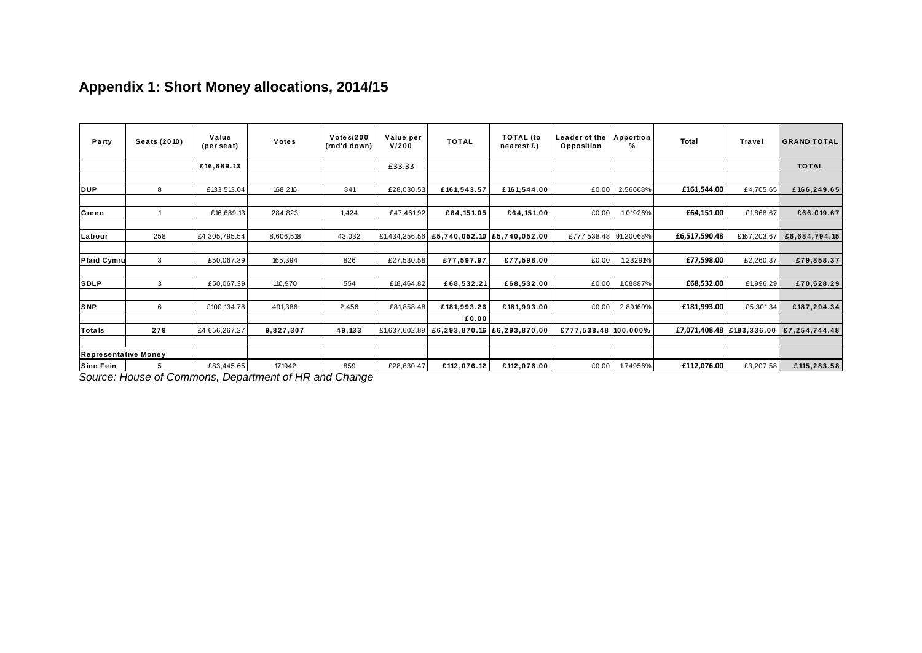<span id="page-16-0"></span>

|                             |              |                     | Appendix 1: Short Money allocations, 2014/15          |                           |                    |                                           |                                |                             |                       |               |                           |                    |
|-----------------------------|--------------|---------------------|-------------------------------------------------------|---------------------------|--------------------|-------------------------------------------|--------------------------------|-----------------------------|-----------------------|---------------|---------------------------|--------------------|
| Party                       | Seats (2010) | Value<br>(per seat) | Votes                                                 | Votes/200<br>(rnd'd down) | Value per<br>V/200 | <b>TOTAL</b>                              | <b>TOTAL</b> (to<br>nearest £) | Leader of the<br>Opposition | <b>Apportion</b><br>% | Total         | Travel                    | <b>GRAND TOTAL</b> |
|                             |              | £16,689.13          |                                                       |                           | £33.33             |                                           |                                |                             |                       |               |                           | <b>TOTAL</b>       |
| <b>DUP</b>                  | 8            | £133,513.04         | 168,216                                               | 841                       | £28,030.53         | £161,543.57                               | £161,544.00                    | £0.00                       | 2.56668%              | £161,544.00   | £4,705.65                 | £166,249.65        |
| Green                       |              | £16,689.13          | 284,823                                               | 1,424                     | £47,461.92         | £64,151.05                                | £64,151.00                     | £0.00                       | 1.01926%              | £64,151.00    | £1,868.67                 | £66,019.67         |
| Labour                      | 258          | £4,305,795.54       | 8,606,518                                             | 43,032                    |                    | £1,434,256.56 £5,740,052.10 £5,740,052.00 |                                | £777,538.48                 | 91.20068%             | £6,517,590.48 | £167,203.67               | £6,684,794.15      |
| <b>Plaid Cymru</b>          | 3            | £50,067.39          | 165,394                                               | 826                       | £27,530.58         | £77,597.97                                | £77,598.00                     | £0.00                       | 1.23291%              | £77,598.00    | £2,260.37                 | £79,858.37         |
| <b>SDLP</b>                 | 3            | £50,067.39          | 110,970                                               | 554                       | £18,464.82         | £68,532.21                                | £68,532.00                     | £0.00                       | 1.08887%              | £68,532.00    | £1,996.29                 | £70,528.29         |
| <b>SNP</b>                  | 6            | £100,134.78         | 491,386                                               | 2,456                     | £81,858.48         | £181,993.26                               | £181,993.00                    | £0.00                       | 2.89160%              | £181,993.00   | £5,301.34                 | £187,294.34        |
| <b>Totals</b>               | 279          | £4,656,267.27       | 9,827,307                                             | 49,133                    | £1,637,602.89      | £0.00<br>£6,293,870.16                    | £6,293,870.00                  | £777,538.48 100.000%        |                       |               | £7,071,408.48 £183,336.00 | £7,254,744.48      |
| <b>Representative Money</b> |              |                     |                                                       |                           |                    |                                           |                                |                             |                       |               |                           |                    |
| Sinn Fein                   | 5            | £83,445.65          | 171942                                                | 859                       | £28,630.47         | £112,076.12                               | £112,076.00                    | £0.00                       | 1.74956%              | £112,076.00   | £3,207.58                 | £115,283.58        |
|                             |              |                     | Source: House of Commons, Department of HR and Change |                           |                    |                                           |                                |                             |                       |               |                           |                    |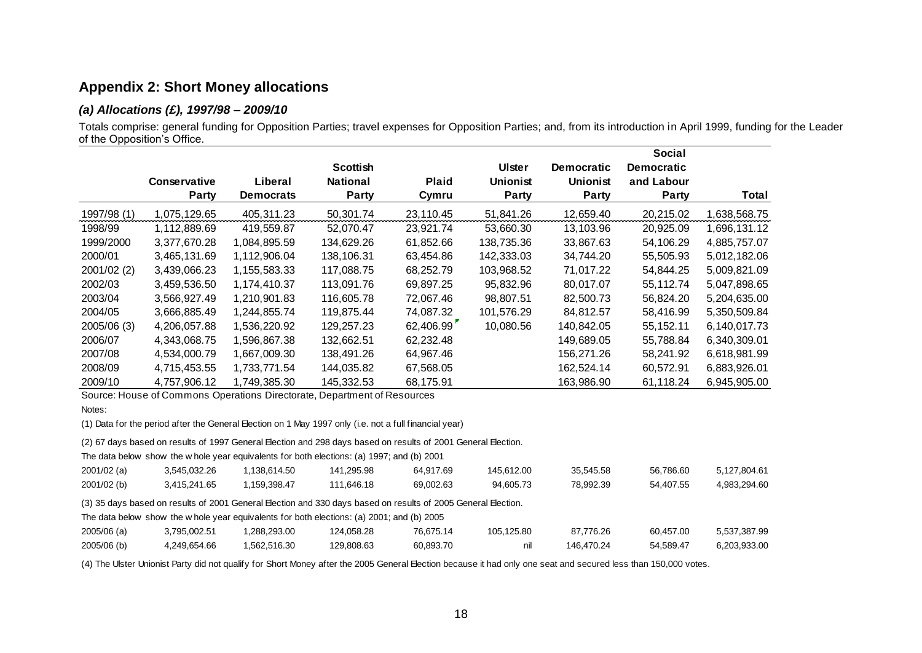### **Appendix 2: Short Money allocations**

#### *(a) Allocations (£), 1997/98 – 2009/10*

Totals comprise: general funding for Opposition Parties; travel expenses for Opposition Parties; and, from its introduction in April 1999, funding for the Leader of the Opposition's Office.

|             |                              |                  |                                 |                       |                                 |                                 | <b>Social</b>              |              |
|-------------|------------------------------|------------------|---------------------------------|-----------------------|---------------------------------|---------------------------------|----------------------------|--------------|
|             |                              | Liberal          | <b>Scottish</b>                 |                       | <b>Ulster</b>                   | <b>Democratic</b>               | <b>Democratic</b>          |              |
|             | <b>Conservative</b><br>Party | <b>Democrats</b> | <b>National</b><br><b>Party</b> | <b>Plaid</b><br>Cymru | <b>Unionist</b><br><b>Party</b> | <b>Unionist</b><br><b>Party</b> | and Labour<br><b>Party</b> | Total        |
| 1997/98 (1) | 1,075,129.65                 | 405,311.23       | 50,301.74                       | 23,110.45             | 51,841.26                       | 12,659.40                       | 20,215.02                  | 1,638,568.75 |
| 1998/99     | 1,112,889.69                 | 419,559.87       | 52.070.47                       | 23,921.74             | 53,660.30                       | 13,103.96                       | 20,925.09                  | 1,696,131.12 |
| 1999/2000   | 3,377,670.28                 | 1,084,895.59     | 134,629.26                      | 61,852.66             | 138,735.36                      | 33,867.63                       | 54,106.29                  | 4,885,757.07 |
| 2000/01     | 3,465,131.69                 | 1,112,906.04     | 138,106.31                      | 63,454.86             | 142,333.03                      | 34,744.20                       | 55,505.93                  | 5,012,182.06 |
| 2001/02(2)  | 3,439,066.23                 | 1,155,583.33     | 117,088.75                      | 68,252.79             | 103,968.52                      | 71,017.22                       | 54,844.25                  | 5,009,821.09 |
| 2002/03     | 3,459,536.50                 | 1,174,410.37     | 113.091.76                      | 69.897.25             | 95,832.96                       | 80.017.07                       | 55,112.74                  | 5,047,898.65 |
| 2003/04     | 3,566,927.49                 | 1,210,901.83     | 116,605.78                      | 72,067.46             | 98,807.51                       | 82,500.73                       | 56,824.20                  | 5,204,635.00 |
| 2004/05     | 3,666,885.49                 | 1,244,855.74     | 119,875.44                      | 74,087.32             | 101,576.29                      | 84.812.57                       | 58,416.99                  | 5,350,509.84 |
| 2005/06 (3) | 4,206,057.88                 | 1,536,220.92     | 129,257.23                      | 62,406.99             | 10,080.56                       | 140,842.05                      | 55, 152. 11                | 6,140,017.73 |
| 2006/07     | 4,343,068.75                 | 1,596,867.38     | 132,662.51                      | 62,232.48             |                                 | 149,689.05                      | 55,788.84                  | 6,340,309.01 |
| 2007/08     | 4,534,000.79                 | 1,667,009.30     | 138,491.26                      | 64,967.46             |                                 | 156,271.26                      | 58,241.92                  | 6,618,981.99 |
| 2008/09     | 4,715,453.55                 | 1,733,771.54     | 144,035.82                      | 67,568.05             |                                 | 162,524.14                      | 60,572.91                  | 6,883,926.01 |
| 2009/10     | 4,757,906.12                 | 1,749,385.30     | 145,332.53                      | 68,175.91             |                                 | 163,986.90                      | 61,118.24                  | 6,945,905.00 |

<span id="page-17-1"></span><span id="page-17-0"></span>Source: House of Commons Operations Directorate, Department of Resources

(1) Data for the period after the General Election on 1 May 1997 only (i.e. not a full financial year)

(2) 67 days based on results of 1997 General Election and 298 days based on results of 2001 General Election.

The data below show the w hole year equivalents for both elections: (a) 1997; and (b) 2001

| 2001/02 (a) | 3,545,032.26 | 138.614.50،، | 141,295.98 | 64.917.69 | 145.612.00 | 35,545.58 | 56.786.60 | 5.127.804.61 |
|-------------|--------------|--------------|------------|-----------|------------|-----------|-----------|--------------|
| 2001/02 (b) | 3.415.241.65 | 159,398.47   | 111.646.18 | 69.002.63 | 94.605.73  | 78.992.39 | 54.407.55 | 4.983.294.60 |

(3) 35 days based on results of 2001 General Election and 330 days based on results of 2005 General Election.

The data below show the w hole year equivalents for both elections: (a) 2001; and (b) 2005

| $2005/06$ (a) | 3,795,002.51 | ,288,293.00  | 124,058.28 | 76.675.14 | 105.125.80 | 87.776.26  | 60.457.00 | 5,537,387.99 |
|---------------|--------------|--------------|------------|-----------|------------|------------|-----------|--------------|
| 2005/06 (b)   | 4,249,654.66 | 1.562.516.30 | 129,808.63 | 60,893.70 | nil        | 146.470.24 | 54,589.47 | 6,203,933.00 |

(4) The Ulster Unionist Party did not qualify for Short Money after the 2005 General Election because it had only one seat and secured less than 150,000 votes.

Notes: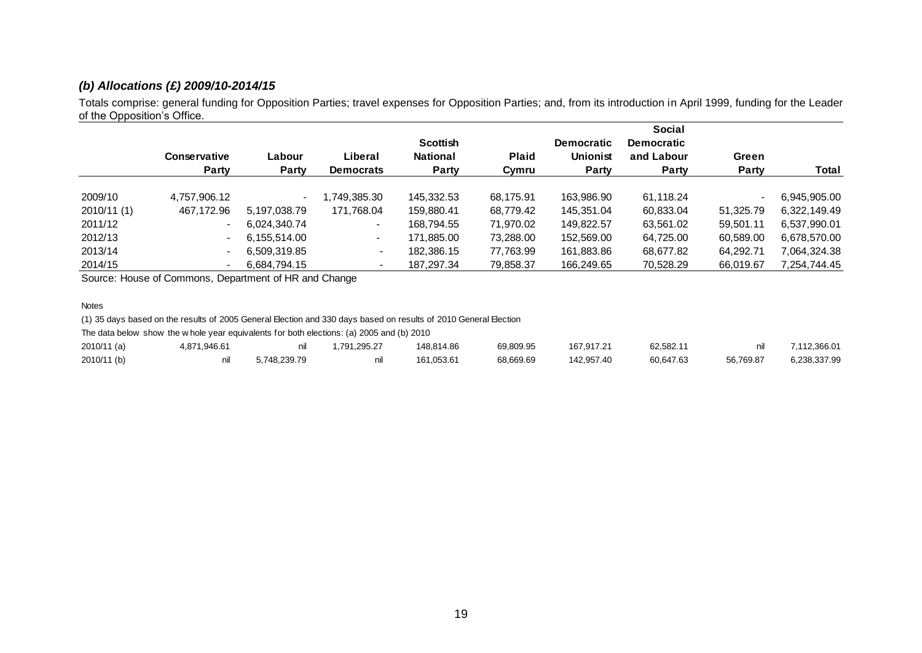#### *(b) Allocations (£) 2009/10-2014/15*

Totals comprise: general funding for Opposition Parties; travel expenses for Opposition Parties; and, from its introduction in April 1999, funding for the Leader of the Opposition's Office.

|             |                          |                 |                             | <b>Scottish</b>                 |                       | <b>Democratic</b>        | <b>Social</b><br><b>Democratic</b> |                |              |
|-------------|--------------------------|-----------------|-----------------------------|---------------------------------|-----------------------|--------------------------|------------------------------------|----------------|--------------|
|             | Conservative<br>Party    | Labour<br>Party | Liberal<br><b>Democrats</b> | <b>National</b><br><b>Party</b> | <b>Plaid</b><br>Cymru | <b>Unionist</b><br>Party | and Labour<br><b>Party</b>         | Green<br>Party | Total        |
| 2009/10     | 4,757,906.12             |                 | ,749,385.30                 | 145,332.53                      | 68,175.91             | 163,986.90               | 61,118.24                          |                | 6,945,905.00 |
| 2010/11 (1) | 467,172.96               | 5.197.038.79    | 171,768.04                  | 159.880.41                      | 68,779.42             | 145,351.04               | 60,833.04                          | 51.325.79      | 6,322,149.49 |
| 2011/12     | $\overline{\phantom{0}}$ | 6.024.340.74    | $\overline{\phantom{a}}$    | 168.794.55                      | 71.970.02             | 149.822.57               | 63,561.02                          | 59,501.11      | 6,537,990.01 |
| 2012/13     | $\overline{\phantom{a}}$ | 6,155,514.00    | $\overline{\phantom{0}}$    | 171,885.00                      | 73,288.00             | 152,569.00               | 64,725.00                          | 60,589.00      | 6,678,570.00 |
| 2013/14     | $\overline{\phantom{0}}$ | 6,509,319.85    | $\blacksquare$              | 182,386.15                      | 77,763.99             | 161,883.86               | 68,677.82                          | 64,292.71      | 7,064,324.38 |
| 2014/15     |                          | 6,684,794.15    |                             | 187,297.34                      | 79,858.37             | 166,249.65               | 70,528.29                          | 66,019.67      | 7,254,744.45 |

<span id="page-18-0"></span>

| <b>2014/19</b>                                                                                                   |              | 0.004.794.1J |              | 101.291. <del>04</del> | ៸ ອ.ບວບ.ວ <i>ກ</i> | 100.Z49.0J | 70.JZ0.ZJ | <u>00.013.07</u> | 54.44.40 .2  |
|------------------------------------------------------------------------------------------------------------------|--------------|--------------|--------------|------------------------|--------------------|------------|-----------|------------------|--------------|
| Source: House of Commons, Department of HR and Change                                                            |              |              |              |                        |                    |            |           |                  |              |
| <b>Notes</b>                                                                                                     |              |              |              |                        |                    |            |           |                  |              |
| (1) 35 days based on the results of 2005 General Election and 330 days based on results of 2010 General Election |              |              |              |                        |                    |            |           |                  |              |
| The data below show the whole year equivalents for both elections: (a) 2005 and (b) 2010                         |              |              |              |                        |                    |            |           |                  |              |
| 2010/11 (a)                                                                                                      | 4.871.946.61 | nil          | 1.791.295.27 | 148.814.86             | 69.809.95          | 167.917.21 | 62.582.11 | nil              | 7.112.366.01 |
| 2010/11 (b)                                                                                                      | nil          | 5.748.239.79 | nil          | 161.053.61             | 68.669.69          | 142.957.40 | 60.647.63 | 56.769.87        | 6.238.337.99 |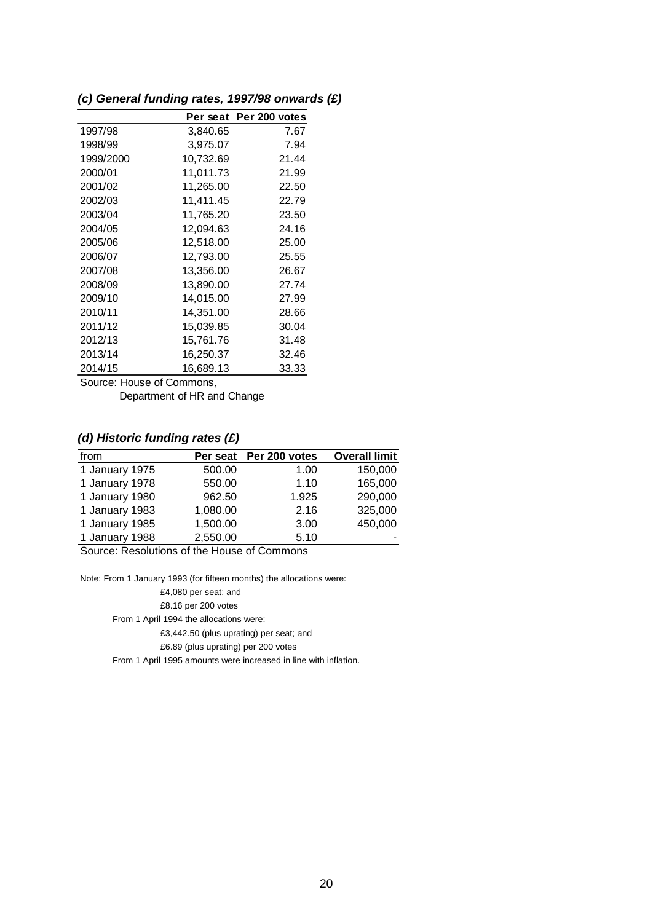## <span id="page-19-0"></span>*(c) General funding rates, 1997/98 onwards (£)*

|           |           | Per seat Per 200 votes |
|-----------|-----------|------------------------|
| 1997/98   | 3,840.65  | 7.67                   |
| 1998/99   | 3,975.07  | 7.94                   |
| 1999/2000 | 10,732.69 | 21.44                  |
| 2000/01   | 11,011.73 | 21.99                  |
| 2001/02   | 11,265.00 | 22.50                  |
| 2002/03   | 11,411.45 | 22.79                  |
| 2003/04   | 11,765.20 | 23.50                  |
| 2004/05   | 12,094.63 | 24.16                  |
| 2005/06   | 12,518.00 | 25.00                  |
| 2006/07   | 12,793.00 | 25.55                  |
| 2007/08   | 13,356.00 | 26.67                  |
| 2008/09   | 13,890.00 | 27.74                  |
| 2009/10   | 14,015.00 | 27.99                  |
| 2010/11   | 14,351.00 | 28.66                  |
| 2011/12   | 15,039.85 | 30.04                  |
| 2012/13   | 15,761.76 | 31.48                  |
| 2013/14   | 16,250.37 | 32.46                  |
| 2014/15   | 16,689.13 | 33.33                  |

Source: House of Commons,

Department of HR and Change

## <span id="page-19-1"></span>*(d) Historic funding rates (£)*

| from           |          | Per seat Per 200 votes | <b>Overall limit</b> |
|----------------|----------|------------------------|----------------------|
| 1 January 1975 | 500.00   | 1.00                   | 150,000              |
| 1 January 1978 | 550.00   | 1.10                   | 165,000              |
| 1 January 1980 | 962.50   | 1.925                  | 290,000              |
| 1 January 1983 | 1,080.00 | 2.16                   | 325,000              |
| 1 January 1985 | 1,500.00 | 3.00                   | 450,000              |
| 1 January 1988 | 2,550.00 | 5.10                   | -                    |

Source: Resolutions of the House of Commons

Note: From 1 January 1993 (for fifteen months) the allocations were:

£4,080 per seat; and

£8.16 per 200 votes

From 1 April 1994 the allocations were:

£3,442.50 (plus uprating) per seat; and

£6.89 (plus uprating) per 200 votes

From 1 April 1995 amounts were increased in line with inflation.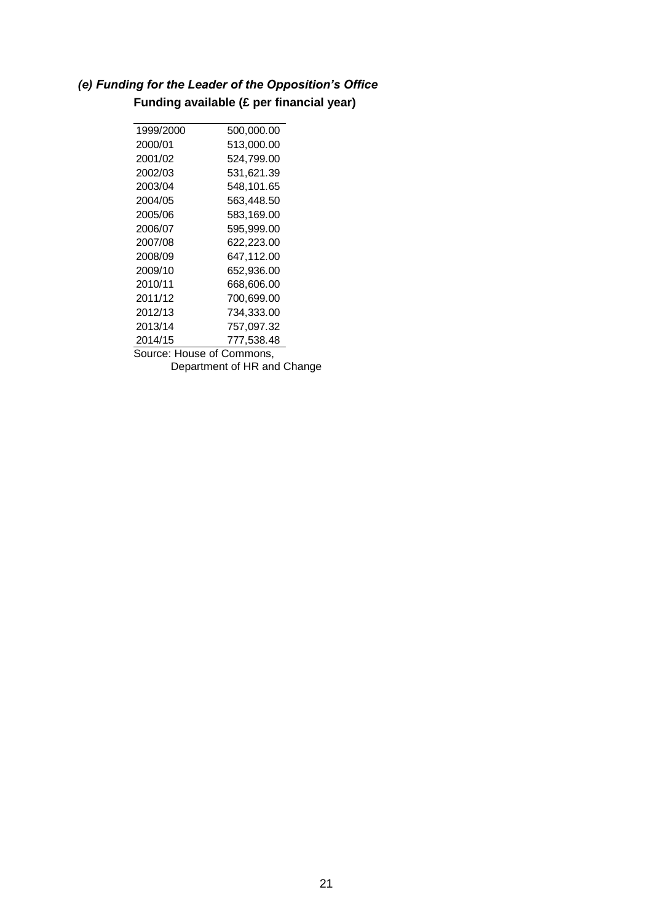# <span id="page-20-0"></span>*(e) Funding for the Leader of the Opposition's Office* **Funding available (£ per financial year)**

| 1999/2000                 | 500,000.00 |  |
|---------------------------|------------|--|
| 2000/01                   | 513.000.00 |  |
| 2001/02                   | 524,799.00 |  |
| 2002/03                   | 531.621.39 |  |
| 2003/04                   | 548,101.65 |  |
| 2004/05                   | 563.448.50 |  |
| 2005/06                   | 583,169.00 |  |
| 2006/07                   | 595.999.00 |  |
| 2007/08                   | 622,223.00 |  |
| 2008/09                   | 647.112.00 |  |
| 2009/10                   | 652,936.00 |  |
| 2010/11                   | 668,606.00 |  |
| 2011/12                   | 700,699.00 |  |
| 2012/13                   | 734.333.00 |  |
| 2013/14                   | 757,097.32 |  |
| 2014/15                   | 777,538.48 |  |
| Source: House of Commons, |            |  |
|                           |            |  |

Department of HR and Change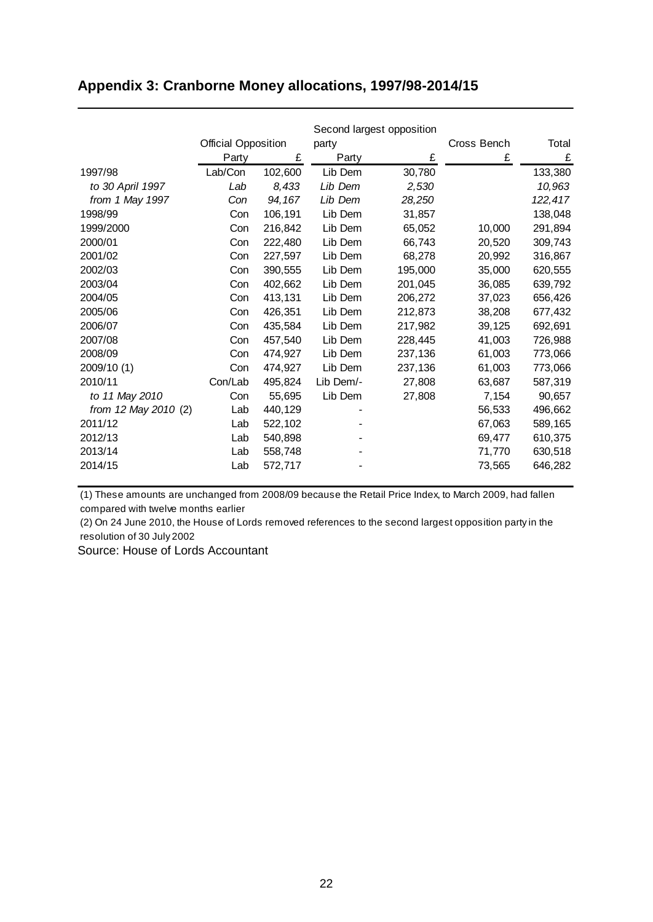# <span id="page-21-0"></span>**Appendix 3: Cranborne Money allocations, 1997/98-2014/15**

|                      |                            |         |           | Second largest opposition |             |         |
|----------------------|----------------------------|---------|-----------|---------------------------|-------------|---------|
|                      | <b>Official Opposition</b> |         | party     |                           | Cross Bench | Total   |
|                      | Party                      | £       | Party     | £                         | £           | £       |
| 1997/98              | Lab/Con                    | 102,600 | Lib Dem   | 30,780                    |             | 133,380 |
| to 30 April 1997     | Lab                        | 8,433   | Lib Dem   | 2,530                     |             | 10,963  |
| from 1 May 1997      | Con                        | 94, 167 | Lib Dem   | 28,250                    |             | 122,417 |
| 1998/99              | Con                        | 106,191 | Lib Dem   | 31,857                    |             | 138,048 |
| 1999/2000            | Con                        | 216,842 | Lib Dem   | 65,052                    | 10,000      | 291,894 |
| 2000/01              | Con                        | 222,480 | Lib Dem   | 66,743                    | 20,520      | 309,743 |
| 2001/02              | Con                        | 227,597 | Lib Dem   | 68,278                    | 20,992      | 316,867 |
| 2002/03              | Con                        | 390,555 | Lib Dem   | 195,000                   | 35,000      | 620,555 |
| 2003/04              | Con                        | 402,662 | Lib Dem   | 201,045                   | 36,085      | 639,792 |
| 2004/05              | Con                        | 413,131 | Lib Dem   | 206,272                   | 37,023      | 656,426 |
| 2005/06              | Con                        | 426,351 | Lib Dem   | 212,873                   | 38,208      | 677,432 |
| 2006/07              | Con                        | 435,584 | Lib Dem   | 217,982                   | 39,125      | 692,691 |
| 2007/08              | Con                        | 457,540 | Lib Dem   | 228,445                   | 41,003      | 726,988 |
| 2008/09              | Con                        | 474,927 | Lib Dem   | 237,136                   | 61,003      | 773,066 |
| 2009/10 (1)          | Con                        | 474,927 | Lib Dem   | 237,136                   | 61,003      | 773,066 |
| 2010/11              | Con/Lab                    | 495,824 | Lib Dem/- | 27,808                    | 63,687      | 587,319 |
| to 11 May 2010       | Con                        | 55,695  | Lib Dem   | 27,808                    | 7,154       | 90,657  |
| from 12 May 2010 (2) | Lab                        | 440,129 |           |                           | 56,533      | 496,662 |
| 2011/12              | Lab                        | 522,102 |           |                           | 67,063      | 589,165 |
| 2012/13              | Lab                        | 540,898 |           |                           | 69,477      | 610,375 |
| 2013/14              | Lab                        | 558,748 |           |                           | 71,770      | 630,518 |
| 2014/15              | Lab                        | 572,717 |           |                           | 73,565      | 646,282 |

(1) These amounts are unchanged from 2008/09 because the Retail Price Index, to March 2009, had fallen compared with twelve months earlier

(2) On 24 June 2010, the House of Lords removed references to the second largest opposition party in the resolution of 30 July 2002

Source: House of Lords Accountant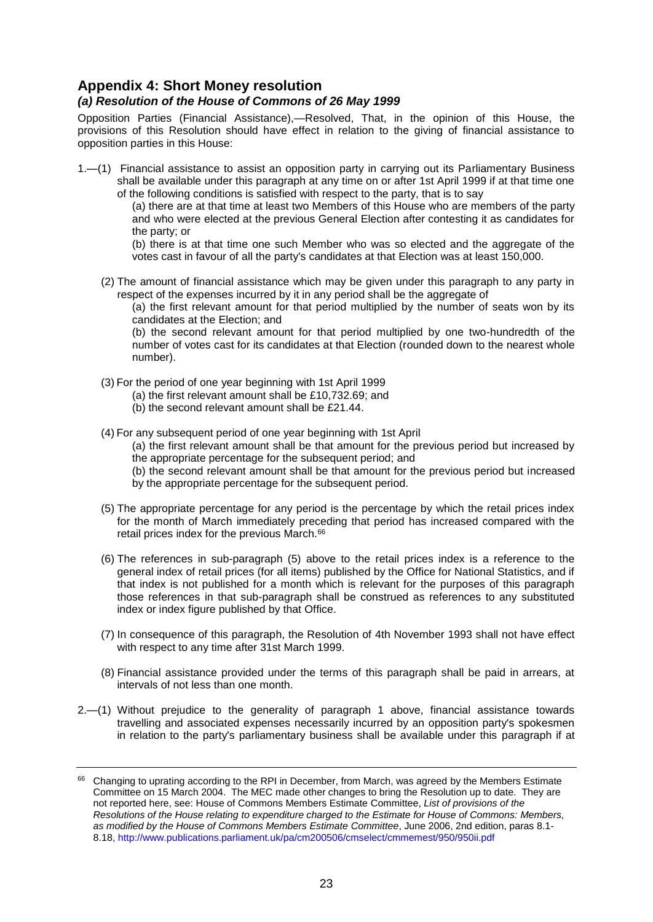## <span id="page-22-0"></span>**Appendix 4: Short Money resolution**

#### <span id="page-22-1"></span>*(a) Resolution of the House of Commons of 26 May 1999*

Opposition Parties (Financial Assistance),—Resolved, That, in the opinion of this House, the provisions of this Resolution should have effect in relation to the giving of financial assistance to opposition parties in this House:

1.—(1) Financial assistance to assist an opposition party in carrying out its Parliamentary Business shall be available under this paragraph at any time on or after 1st April 1999 if at that time one of the following conditions is satisfied with respect to the party, that is to say

(a) there are at that time at least two Members of this House who are members of the party and who were elected at the previous General Election after contesting it as candidates for the party; or

(b) there is at that time one such Member who was so elected and the aggregate of the votes cast in favour of all the party's candidates at that Election was at least 150,000.

(2) The amount of financial assistance which may be given under this paragraph to any party in respect of the expenses incurred by it in any period shall be the aggregate of

(a) the first relevant amount for that period multiplied by the number of seats won by its candidates at the Election; and

(b) the second relevant amount for that period multiplied by one two-hundredth of the number of votes cast for its candidates at that Election (rounded down to the nearest whole number).

- (3) For the period of one year beginning with 1st April 1999
	- (a) the first relevant amount shall be £10,732.69; and
	- (b) the second relevant amount shall be £21.44.
- (4) For any subsequent period of one year beginning with 1st April

(a) the first relevant amount shall be that amount for the previous period but increased by the appropriate percentage for the subsequent period; and

(b) the second relevant amount shall be that amount for the previous period but increased by the appropriate percentage for the subsequent period.

- (5) The appropriate percentage for any period is the percentage by which the retail prices index for the month of March immediately preceding that period has increased compared with the retail prices index for the previous March.<sup>66</sup>
- (6) The references in sub-paragraph (5) above to the retail prices index is a reference to the general index of retail prices (for all items) published by the Office for National Statistics, and if that index is not published for a month which is relevant for the purposes of this paragraph those references in that sub-paragraph shall be construed as references to any substituted index or index figure published by that Office.
- (7) In consequence of this paragraph, the Resolution of 4th November 1993 shall not have effect with respect to any time after 31st March 1999.
- (8) Financial assistance provided under the terms of this paragraph shall be paid in arrears, at intervals of not less than one month.
- 2.—(1) Without prejudice to the generality of paragraph 1 above, financial assistance towards travelling and associated expenses necessarily incurred by an opposition party's spokesmen in relation to the party's parliamentary business shall be available under this paragraph if at

<sup>&</sup>lt;sup>66</sup> Changing to uprating according to the RPI in December, from March, was agreed by the Members Estimate Committee on 15 March 2004. The MEC made other changes to bring the Resolution up to date. They are not reported here, see: House of Commons Members Estimate Committee, *List of provisions of the Resolutions of the House relating to expenditure charged to the Estimate for House of Commons: Members, as modified by the House of Commons Members Estimate Committee*, June 2006, 2nd edition, paras 8.1- 8.18[, http://www.publications.parliament.uk/pa/cm200506/cmselect/cmmemest/950/950ii.pdf](http://www.publications.parliament.uk/pa/cm200506/cmselect/cmmemest/950/950ii.pdf)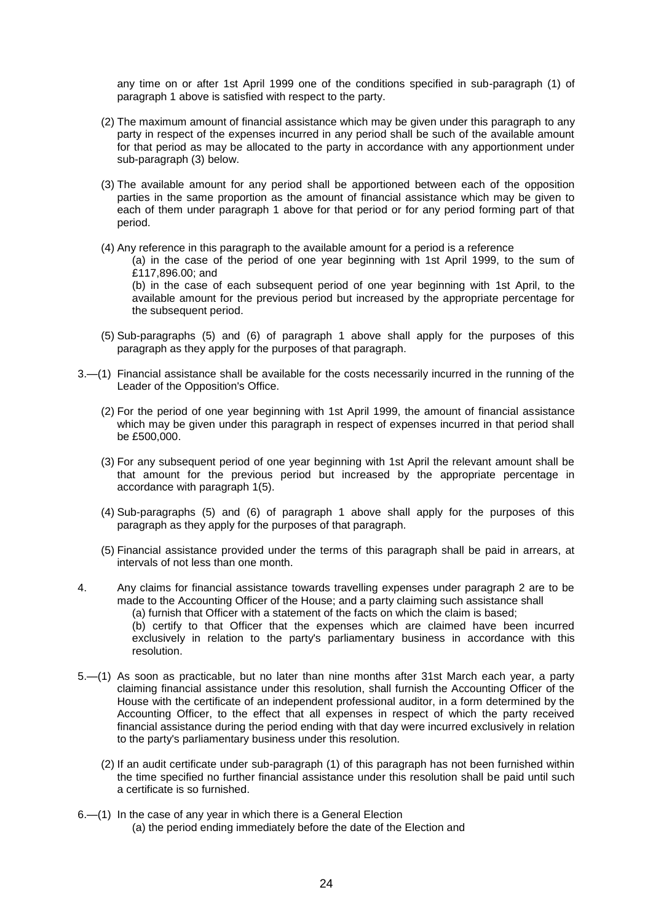any time on or after 1st April 1999 one of the conditions specified in sub-paragraph (1) of paragraph 1 above is satisfied with respect to the party.

- (2) The maximum amount of financial assistance which may be given under this paragraph to any party in respect of the expenses incurred in any period shall be such of the available amount for that period as may be allocated to the party in accordance with any apportionment under sub-paragraph (3) below.
- (3) The available amount for any period shall be apportioned between each of the opposition parties in the same proportion as the amount of financial assistance which may be given to each of them under paragraph 1 above for that period or for any period forming part of that period.
- (4) Any reference in this paragraph to the available amount for a period is a reference

(a) in the case of the period of one year beginning with 1st April 1999, to the sum of £117,896.00; and

(b) in the case of each subsequent period of one year beginning with 1st April, to the available amount for the previous period but increased by the appropriate percentage for the subsequent period.

- (5) Sub-paragraphs (5) and (6) of paragraph 1 above shall apply for the purposes of this paragraph as they apply for the purposes of that paragraph.
- 3.—(1) Financial assistance shall be available for the costs necessarily incurred in the running of the Leader of the Opposition's Office.
	- (2) For the period of one year beginning with 1st April 1999, the amount of financial assistance which may be given under this paragraph in respect of expenses incurred in that period shall be £500,000.
	- (3) For any subsequent period of one year beginning with 1st April the relevant amount shall be that amount for the previous period but increased by the appropriate percentage in accordance with paragraph 1(5).
	- (4) Sub-paragraphs (5) and (6) of paragraph 1 above shall apply for the purposes of this paragraph as they apply for the purposes of that paragraph.
	- (5) Financial assistance provided under the terms of this paragraph shall be paid in arrears, at intervals of not less than one month.
- 4. Any claims for financial assistance towards travelling expenses under paragraph 2 are to be made to the Accounting Officer of the House; and a party claiming such assistance shall (a) furnish that Officer with a statement of the facts on which the claim is based;

(b) certify to that Officer that the expenses which are claimed have been incurred exclusively in relation to the party's parliamentary business in accordance with this resolution.

- 5.—(1) As soon as practicable, but no later than nine months after 31st March each year, a party claiming financial assistance under this resolution, shall furnish the Accounting Officer of the House with the certificate of an independent professional auditor, in a form determined by the Accounting Officer, to the effect that all expenses in respect of which the party received financial assistance during the period ending with that day were incurred exclusively in relation to the party's parliamentary business under this resolution.
	- (2) If an audit certificate under sub-paragraph (1) of this paragraph has not been furnished within the time specified no further financial assistance under this resolution shall be paid until such a certificate is so furnished.
- 6.—(1) In the case of any year in which there is a General Election (a) the period ending immediately before the date of the Election and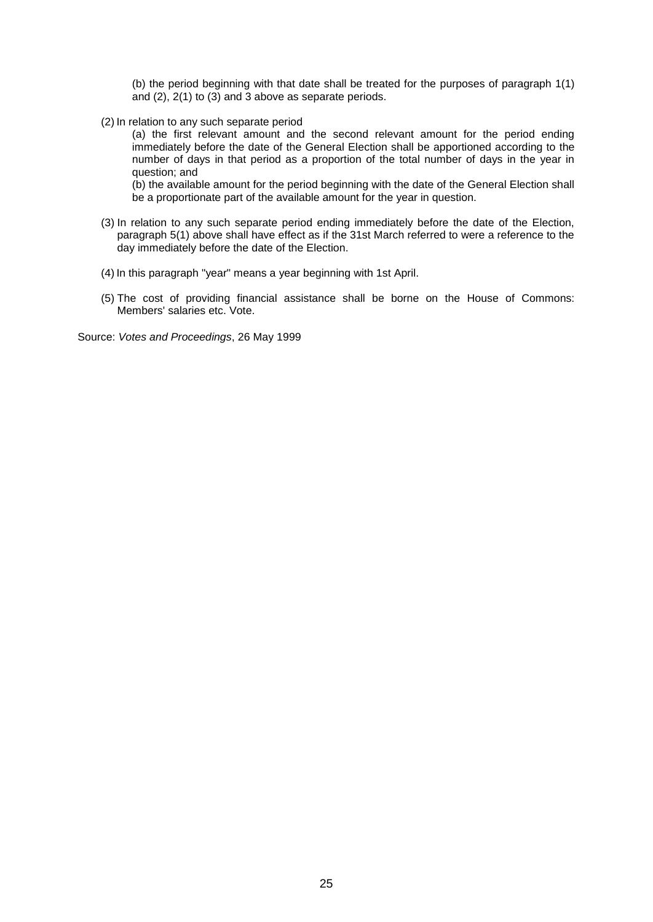(b) the period beginning with that date shall be treated for the purposes of paragraph 1(1) and  $(2)$ ,  $2(1)$  to  $(3)$  and  $3$  above as separate periods.

(2) In relation to any such separate period

(a) the first relevant amount and the second relevant amount for the period ending immediately before the date of the General Election shall be apportioned according to the number of days in that period as a proportion of the total number of days in the year in question; and

(b) the available amount for the period beginning with the date of the General Election shall be a proportionate part of the available amount for the year in question.

- (3) In relation to any such separate period ending immediately before the date of the Election, paragraph 5(1) above shall have effect as if the 31st March referred to were a reference to the day immediately before the date of the Election.
- (4) In this paragraph "year" means a year beginning with 1st April.
- (5) The cost of providing financial assistance shall be borne on the House of Commons: Members' salaries etc. Vote.

Source: *Votes and Proceedings*, 26 May 1999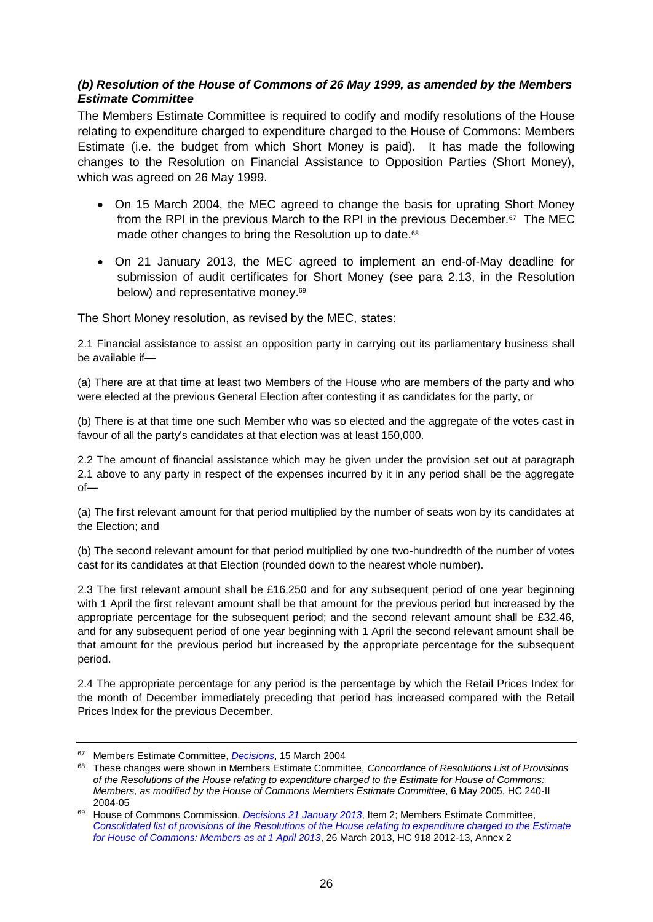### <span id="page-25-0"></span>*(b) Resolution of the House of Commons of 26 May 1999, as amended by the Members Estimate Committee*

The Members Estimate Committee is required to codify and modify resolutions of the House relating to expenditure charged to expenditure charged to the House of Commons: Members Estimate (i.e. the budget from which Short Money is paid). It has made the following changes to the Resolution on Financial Assistance to Opposition Parties (Short Money), which was agreed on 26 May 1999.

- On 15 March 2004, the MEC agreed to change the basis for uprating Short Money from the RPI in the previous March to the RPI in the previous December.<sup>67</sup> The MEC made other changes to bring the Resolution up to date. 68
- On 21 January 2013, the MEC agreed to implement an end-of-May deadline for submission of audit certificates for Short Money (see para 2.13, in the Resolution below) and representative money.<sup>69</sup>

The Short Money resolution, as revised by the MEC, states:

2.1 Financial assistance to assist an opposition party in carrying out its parliamentary business shall be available if—

(a) There are at that time at least two Members of the House who are members of the party and who were elected at the previous General Election after contesting it as candidates for the party, or

(b) There is at that time one such Member who was so elected and the aggregate of the votes cast in favour of all the party's candidates at that election was at least 150,000.

2.2 The amount of financial assistance which may be given under the provision set out at paragraph 2.1 above to any party in respect of the expenses incurred by it in any period shall be the aggregate of—

(a) The first relevant amount for that period multiplied by the number of seats won by its candidates at the Election; and

(b) The second relevant amount for that period multiplied by one two-hundredth of the number of votes cast for its candidates at that Election (rounded down to the nearest whole number).

2.3 The first relevant amount shall be £16,250 and for any subsequent period of one year beginning with 1 April the first relevant amount shall be that amount for the previous period but increased by the appropriate percentage for the subsequent period; and the second relevant amount shall be £32.46, and for any subsequent period of one year beginning with 1 April the second relevant amount shall be that amount for the previous period but increased by the appropriate percentage for the subsequent period.

2.4 The appropriate percentage for any period is the percentage by which the Retail Prices Index for the month of December immediately preceding that period has increased compared with the Retail Prices Index for the previous December.

<sup>67</sup> Members Estimate Committee, *[Decisions](http://www.parliament.uk/business/committees/committees-archive/mec/mecfm150304/)*, 15 March 2004

<sup>68</sup> These changes were shown in Members Estimate Committee, *Concordance of Resolutions List of Provisions of the Resolutions of the House relating to expenditure charged to the Estimate for House of Commons: Members, as modified by the House of Commons Members Estimate Committee*, 6 May 2005, HC 240-II 2004-05

<sup>69</sup> House of Commons Commission, *[Decisions 21 January 2013](http://www.parliament.uk/mps-lords-and-offices/offices/commons/house-of-commons-commission/minutes/decisions-2013/hcc-210113/)*, Item 2; Members Estimate Committee, *[Consolidated list of provisions of the Resolutions of the House relating to expenditure charged to the Estimate](http://www.publications.parliament.uk/pa/cm201213/cmselect/cmmember/918/918.pdf)  [for House of Commons: Members as at 1 April 2013](http://www.publications.parliament.uk/pa/cm201213/cmselect/cmmember/918/918.pdf)*, 26 March 2013, HC 918 2012-13, Annex 2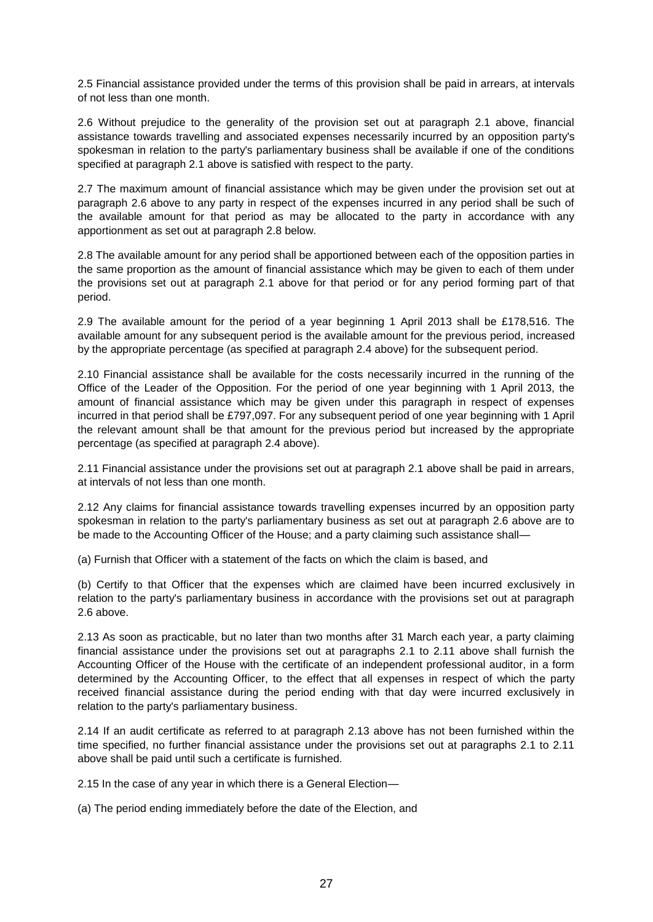2.5 Financial assistance provided under the terms of this provision shall be paid in arrears, at intervals of not less than one month.

2.6 Without prejudice to the generality of the provision set out at paragraph 2.1 above, financial assistance towards travelling and associated expenses necessarily incurred by an opposition party's spokesman in relation to the party's parliamentary business shall be available if one of the conditions specified at paragraph 2.1 above is satisfied with respect to the party.

2.7 The maximum amount of financial assistance which may be given under the provision set out at paragraph 2.6 above to any party in respect of the expenses incurred in any period shall be such of the available amount for that period as may be allocated to the party in accordance with any apportionment as set out at paragraph 2.8 below.

2.8 The available amount for any period shall be apportioned between each of the opposition parties in the same proportion as the amount of financial assistance which may be given to each of them under the provisions set out at paragraph 2.1 above for that period or for any period forming part of that period.

2.9 The available amount for the period of a year beginning 1 April 2013 shall be £178,516. The available amount for any subsequent period is the available amount for the previous period, increased by the appropriate percentage (as specified at paragraph 2.4 above) for the subsequent period.

2.10 Financial assistance shall be available for the costs necessarily incurred in the running of the Office of the Leader of the Opposition. For the period of one year beginning with 1 April 2013, the amount of financial assistance which may be given under this paragraph in respect of expenses incurred in that period shall be £797,097. For any subsequent period of one year beginning with 1 April the relevant amount shall be that amount for the previous period but increased by the appropriate percentage (as specified at paragraph 2.4 above).

2.11 Financial assistance under the provisions set out at paragraph 2.1 above shall be paid in arrears, at intervals of not less than one month.

2.12 Any claims for financial assistance towards travelling expenses incurred by an opposition party spokesman in relation to the party's parliamentary business as set out at paragraph 2.6 above are to be made to the Accounting Officer of the House; and a party claiming such assistance shall—

(a) Furnish that Officer with a statement of the facts on which the claim is based, and

(b) Certify to that Officer that the expenses which are claimed have been incurred exclusively in relation to the party's parliamentary business in accordance with the provisions set out at paragraph 2.6 above.

2.13 As soon as practicable, but no later than two months after 31 March each year, a party claiming financial assistance under the provisions set out at paragraphs 2.1 to 2.11 above shall furnish the Accounting Officer of the House with the certificate of an independent professional auditor, in a form determined by the Accounting Officer, to the effect that all expenses in respect of which the party received financial assistance during the period ending with that day were incurred exclusively in relation to the party's parliamentary business.

2.14 If an audit certificate as referred to at paragraph 2.13 above has not been furnished within the time specified, no further financial assistance under the provisions set out at paragraphs 2.1 to 2.11 above shall be paid until such a certificate is furnished.

2.15 In the case of any year in which there is a General Election—

(a) The period ending immediately before the date of the Election, and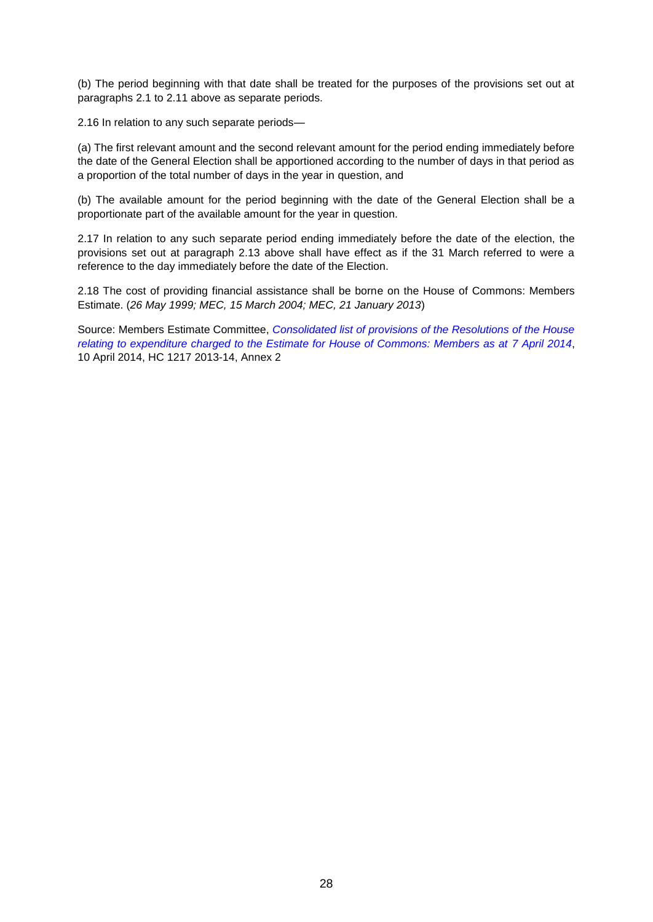(b) The period beginning with that date shall be treated for the purposes of the provisions set out at paragraphs 2.1 to 2.11 above as separate periods.

2.16 In relation to any such separate periods—

(a) The first relevant amount and the second relevant amount for the period ending immediately before the date of the General Election shall be apportioned according to the number of days in that period as a proportion of the total number of days in the year in question, and

(b) The available amount for the period beginning with the date of the General Election shall be a proportionate part of the available amount for the year in question.

2.17 In relation to any such separate period ending immediately before the date of the election, the provisions set out at paragraph 2.13 above shall have effect as if the 31 March referred to were a reference to the day immediately before the date of the Election.

2.18 The cost of providing financial assistance shall be borne on the House of Commons: Members Estimate. (*26 May 1999; MEC, 15 March 2004; MEC, 21 January 2013*)

Source: Members Estimate Committee, *Consolidated list of [provisions of the Resolutions of the House](http://www.publications.parliament.uk/pa/cm201314/cmselect/cmmemest/1217/1217.pdf)  [relating to expenditure charged to the Estimate for House of Commons: Members as at 7](http://www.publications.parliament.uk/pa/cm201314/cmselect/cmmemest/1217/1217.pdf) April 2014*, 10 April 2014, HC 1217 2013-14, Annex 2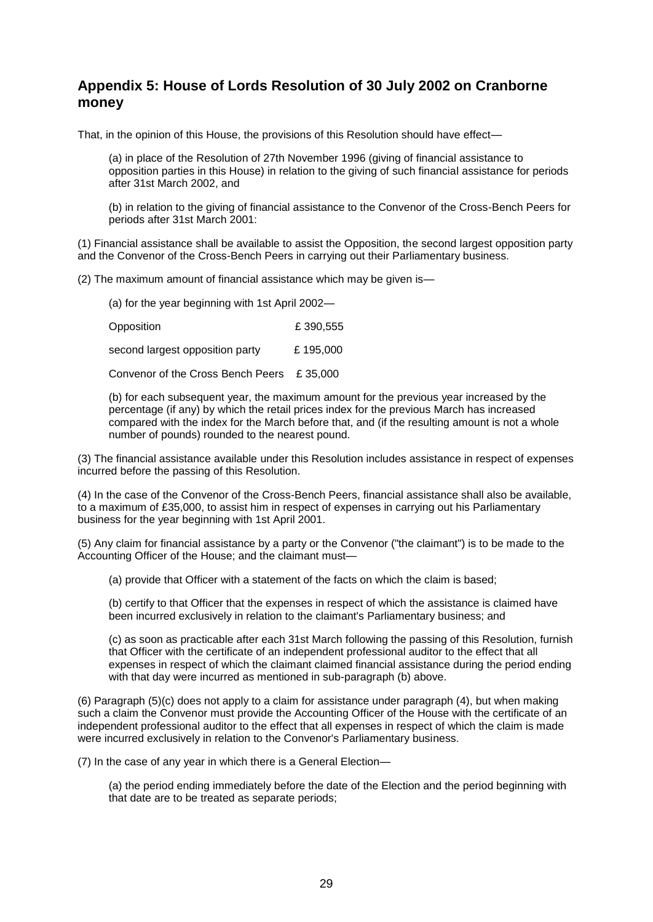## <span id="page-28-0"></span>**Appendix 5: House of Lords Resolution of 30 July 2002 on Cranborne money**

That, in the opinion of this House, the provisions of this Resolution should have effect—

(a) in place of the Resolution of 27th November 1996 (giving of financial assistance to opposition parties in this House) in relation to the giving of such financial assistance for periods after 31st March 2002, and

(b) in relation to the giving of financial assistance to the Convenor of the Cross-Bench Peers for periods after 31st March 2001:

(1) Financial assistance shall be available to assist the Opposition, the second largest opposition party and the Convenor of the Cross-Bench Peers in carrying out their Parliamentary business.

(2) The maximum amount of financial assistance which may be given is—

(a) for the year beginning with 1st April 2002—

Opposition **E** 390,555

second largest opposition party E 195,000

Convenor of the Cross Bench Peers £ 35,000

(b) for each subsequent year, the maximum amount for the previous year increased by the percentage (if any) by which the retail prices index for the previous March has increased compared with the index for the March before that, and (if the resulting amount is not a whole number of pounds) rounded to the nearest pound.

(3) The financial assistance available under this Resolution includes assistance in respect of expenses incurred before the passing of this Resolution.

(4) In the case of the Convenor of the Cross-Bench Peers, financial assistance shall also be available, to a maximum of £35,000, to assist him in respect of expenses in carrying out his Parliamentary business for the year beginning with 1st April 2001.

(5) Any claim for financial assistance by a party or the Convenor ("the claimant") is to be made to the Accounting Officer of the House; and the claimant must—

(a) provide that Officer with a statement of the facts on which the claim is based;

(b) certify to that Officer that the expenses in respect of which the assistance is claimed have been incurred exclusively in relation to the claimant's Parliamentary business; and

(c) as soon as practicable after each 31st March following the passing of this Resolution, furnish that Officer with the certificate of an independent professional auditor to the effect that all expenses in respect of which the claimant claimed financial assistance during the period ending with that day were incurred as mentioned in sub-paragraph (b) above.

(6) Paragraph (5)(c) does not apply to a claim for assistance under paragraph (4), but when making such a claim the Convenor must provide the Accounting Officer of the House with the certificate of an independent professional auditor to the effect that all expenses in respect of which the claim is made were incurred exclusively in relation to the Convenor's Parliamentary business.

(7) In the case of any year in which there is a General Election—

(a) the period ending immediately before the date of the Election and the period beginning with that date are to be treated as separate periods;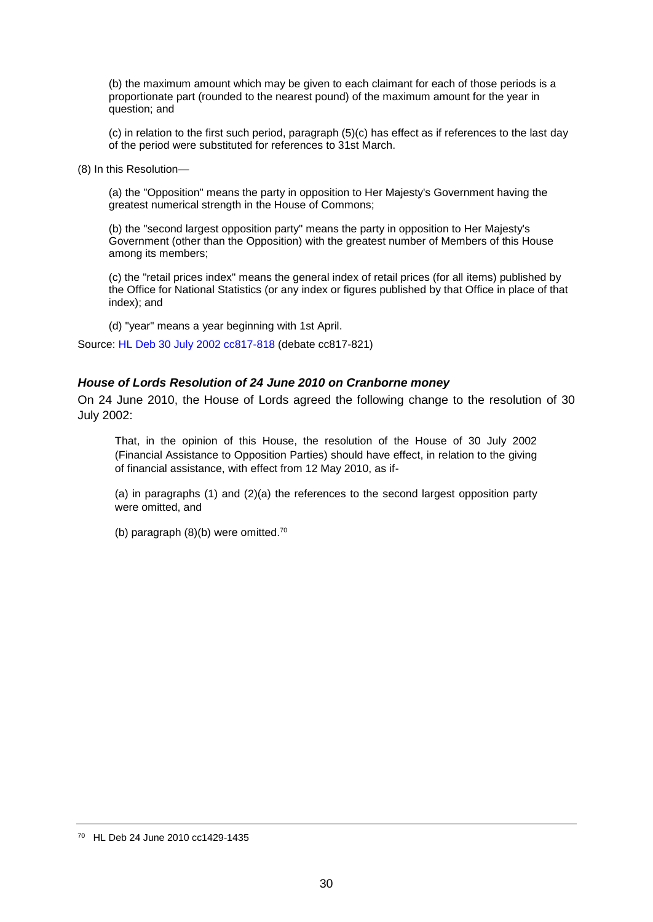(b) the maximum amount which may be given to each claimant for each of those periods is a proportionate part (rounded to the nearest pound) of the maximum amount for the year in question; and

(c) in relation to the first such period, paragraph (5)(c) has effect as if references to the last day of the period were substituted for references to 31st March.

(8) In this Resolution—

(a) the "Opposition" means the party in opposition to Her Majesty's Government having the greatest numerical strength in the House of Commons;

(b) the "second largest opposition party" means the party in opposition to Her Majesty's Government (other than the Opposition) with the greatest number of Members of this House among its members;

(c) the "retail prices index" means the general index of retail prices (for all items) published by the Office for National Statistics (or any index or figures published by that Office in place of that index); and

(d) "year" means a year beginning with 1st April.

Source: [HL Deb 30 July 2002 cc817-818](http://www.publications.parliament.uk/pa/ld200102/ldhansrd/vo020730/text/20730-03.htm#20730-03_head1) (debate cc817-821)

#### <span id="page-29-0"></span>*House of Lords Resolution of 24 June 2010 on Cranborne money*

On 24 June 2010, the House of Lords agreed the following change to the resolution of 30 July 2002:

That, in the opinion of this House, the resolution of the House of 30 July 2002 (Financial Assistance to Opposition Parties) should have effect, in relation to the giving of financial assistance, with effect from 12 May 2010, as if-

(a) in paragraphs (1) and (2)(a) the references to the second largest opposition party were omitted, and

(b) paragraph (8)(b) were omitted.<sup>70</sup>

<sup>70</sup> HL Deb 24 June 2010 cc1429-1435